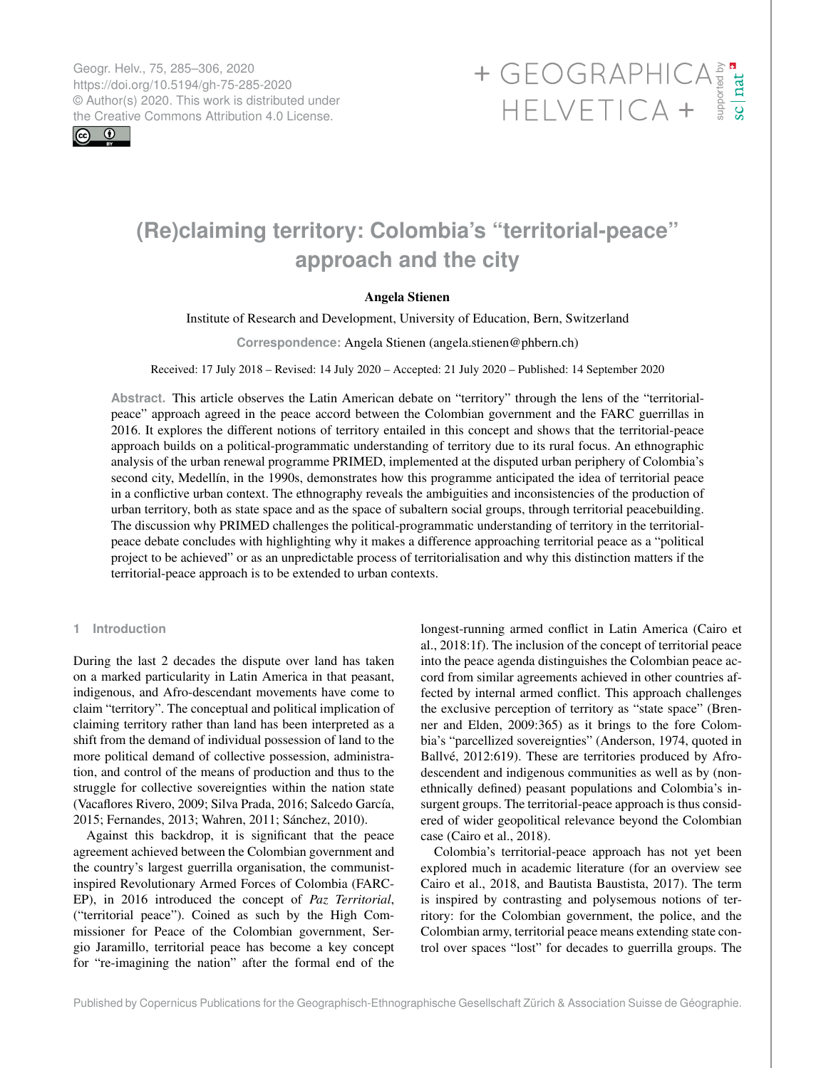Geogr. Helv., 75, 285–306, 2020 https://doi.org/10.5194/gh-75-285-2020 © Author(s) 2020. This work is distributed under

 $\boxed{6}$   $\boxed{0}$ 

# Geogr. Helv., 75, 285–306, 2020<br>https://doi.org/10.5194/gh-75-285-2020<br>
© Author(s) 2020. This work is distributed under<br>
the Creative Commons Attribution 4.0 License.<br>
HELVETICA +

# **(Re)claiming territory: Colombia's "territorial-peace" approach and the city**

# Angela Stienen

Institute of Research and Development, University of Education, Bern, Switzerland

**Correspondence:** Angela Stienen (angela.stienen@phbern.ch)

Received: 17 July 2018 – Revised: 14 July 2020 – Accepted: 21 July 2020 – Published: 14 September 2020

**Abstract.** This article observes the Latin American debate on "territory" through the lens of the "territorialpeace" approach agreed in the peace accord between the Colombian government and the FARC guerrillas in 2016. It explores the different notions of territory entailed in this concept and shows that the territorial-peace approach builds on a political-programmatic understanding of territory due to its rural focus. An ethnographic analysis of the urban renewal programme PRIMED, implemented at the disputed urban periphery of Colombia's second city, Medellín, in the 1990s, demonstrates how this programme anticipated the idea of territorial peace in a conflictive urban context. The ethnography reveals the ambiguities and inconsistencies of the production of urban territory, both as state space and as the space of subaltern social groups, through territorial peacebuilding. The discussion why PRIMED challenges the political-programmatic understanding of territory in the territorialpeace debate concludes with highlighting why it makes a difference approaching territorial peace as a "political project to be achieved" or as an unpredictable process of territorialisation and why this distinction matters if the territorial-peace approach is to be extended to urban contexts.

# **1 Introduction**

During the last 2 decades the dispute over land has taken on a marked particularity in Latin America in that peasant, indigenous, and Afro-descendant movements have come to claim "territory". The conceptual and political implication of claiming territory rather than land has been interpreted as a shift from the demand of individual possession of land to the more political demand of collective possession, administration, and control of the means of production and thus to the struggle for collective sovereignties within the nation state (Vacaflores Rivero, 2009; Silva Prada, 2016; Salcedo García, 2015; Fernandes, 2013; Wahren, 2011; Sánchez, 2010).

Against this backdrop, it is significant that the peace agreement achieved between the Colombian government and the country's largest guerrilla organisation, the communistinspired Revolutionary Armed Forces of Colombia (FARC-EP), in 2016 introduced the concept of *Paz Territorial*, ("territorial peace"). Coined as such by the High Commissioner for Peace of the Colombian government, Sergio Jaramillo, territorial peace has become a key concept for "re-imagining the nation" after the formal end of the

longest-running armed conflict in Latin America (Cairo et al., 2018:1f). The inclusion of the concept of territorial peace into the peace agenda distinguishes the Colombian peace accord from similar agreements achieved in other countries affected by internal armed conflict. This approach challenges the exclusive perception of territory as "state space" (Brenner and Elden, 2009:365) as it brings to the fore Colombia's "parcellized sovereignties" (Anderson, 1974, quoted in Ballvé, 2012:619). These are territories produced by Afrodescendent and indigenous communities as well as by (nonethnically defined) peasant populations and Colombia's insurgent groups. The territorial-peace approach is thus considered of wider geopolitical relevance beyond the Colombian case (Cairo et al., 2018).

Colombia's territorial-peace approach has not yet been explored much in academic literature (for an overview see Cairo et al., 2018, and Bautista Baustista, 2017). The term is inspired by contrasting and polysemous notions of territory: for the Colombian government, the police, and the Colombian army, territorial peace means extending state control over spaces "lost" for decades to guerrilla groups. The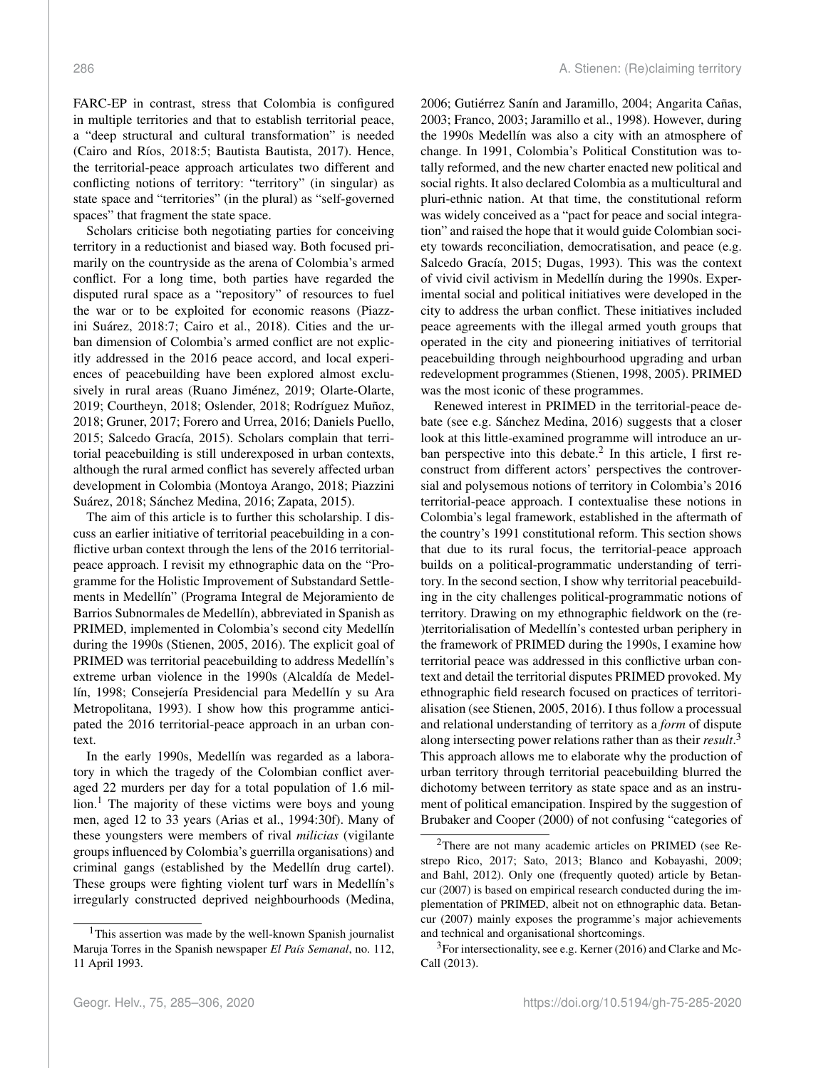FARC-EP in contrast, stress that Colombia is configured in multiple territories and that to establish territorial peace, a "deep structural and cultural transformation" is needed (Cairo and Ríos, 2018:5; Bautista Bautista, 2017). Hence, the territorial-peace approach articulates two different and conflicting notions of territory: "territory" (in singular) as state space and "territories" (in the plural) as "self-governed spaces" that fragment the state space.

Scholars criticise both negotiating parties for conceiving territory in a reductionist and biased way. Both focused primarily on the countryside as the arena of Colombia's armed conflict. For a long time, both parties have regarded the disputed rural space as a "repository" of resources to fuel the war or to be exploited for economic reasons (Piazzini Suárez, 2018:7; Cairo et al., 2018). Cities and the urban dimension of Colombia's armed conflict are not explicitly addressed in the 2016 peace accord, and local experiences of peacebuilding have been explored almost exclusively in rural areas (Ruano Jiménez, 2019; Olarte-Olarte, 2019; Courtheyn, 2018; Oslender, 2018; Rodríguez Muñoz, 2018; Gruner, 2017; Forero and Urrea, 2016; Daniels Puello, 2015; Salcedo Gracía, 2015). Scholars complain that territorial peacebuilding is still underexposed in urban contexts, although the rural armed conflict has severely affected urban development in Colombia (Montoya Arango, 2018; Piazzini Suárez, 2018; Sánchez Medina, 2016; Zapata, 2015).

The aim of this article is to further this scholarship. I discuss an earlier initiative of territorial peacebuilding in a conflictive urban context through the lens of the 2016 territorialpeace approach. I revisit my ethnographic data on the "Programme for the Holistic Improvement of Substandard Settlements in Medellín" (Programa Integral de Mejoramiento de Barrios Subnormales de Medellín), abbreviated in Spanish as PRIMED, implemented in Colombia's second city Medellín during the 1990s (Stienen, 2005, 2016). The explicit goal of PRIMED was territorial peacebuilding to address Medellín's extreme urban violence in the 1990s (Alcaldía de Medellín, 1998; Consejería Presidencial para Medellín y su Ara Metropolitana, 1993). I show how this programme anticipated the 2016 territorial-peace approach in an urban context.

In the early 1990s, Medellín was regarded as a laboratory in which the tragedy of the Colombian conflict averaged 22 murders per day for a total population of 1.6 mil-lion.<sup>[1](#page-1-0)</sup> The majority of these victims were boys and young men, aged 12 to 33 years (Arias et al., 1994:30f). Many of these youngsters were members of rival *milicias* (vigilante groups influenced by Colombia's guerrilla organisations) and criminal gangs (established by the Medellín drug cartel). These groups were fighting violent turf wars in Medellín's irregularly constructed deprived neighbourhoods (Medina, 2006; Gutiérrez Sanín and Jaramillo, 2004; Angarita Cañas, 2003; Franco, 2003; Jaramillo et al., 1998). However, during the 1990s Medellín was also a city with an atmosphere of change. In 1991, Colombia's Political Constitution was totally reformed, and the new charter enacted new political and social rights. It also declared Colombia as a multicultural and pluri-ethnic nation. At that time, the constitutional reform was widely conceived as a "pact for peace and social integration" and raised the hope that it would guide Colombian society towards reconciliation, democratisation, and peace (e.g. Salcedo Gracía, 2015; Dugas, 1993). This was the context of vivid civil activism in Medellín during the 1990s. Experimental social and political initiatives were developed in the city to address the urban conflict. These initiatives included peace agreements with the illegal armed youth groups that operated in the city and pioneering initiatives of territorial peacebuilding through neighbourhood upgrading and urban redevelopment programmes (Stienen, 1998, 2005). PRIMED was the most iconic of these programmes.

Renewed interest in PRIMED in the territorial-peace debate (see e.g. Sánchez Medina, 2016) suggests that a closer look at this little-examined programme will introduce an urban perspective into this debate. $^2$  $^2$  In this article, I first reconstruct from different actors' perspectives the controversial and polysemous notions of territory in Colombia's 2016 territorial-peace approach. I contextualise these notions in Colombia's legal framework, established in the aftermath of the country's 1991 constitutional reform. This section shows that due to its rural focus, the territorial-peace approach builds on a political-programmatic understanding of territory. In the second section, I show why territorial peacebuilding in the city challenges political-programmatic notions of territory. Drawing on my ethnographic fieldwork on the (re- )territorialisation of Medellín's contested urban periphery in the framework of PRIMED during the 1990s, I examine how territorial peace was addressed in this conflictive urban context and detail the territorial disputes PRIMED provoked. My ethnographic field research focused on practices of territorialisation (see Stienen, 2005, 2016). I thus follow a processual and relational understanding of territory as a *form* of dispute along intersecting power relations rather than as their *result*. [3](#page-1-2) This approach allows me to elaborate why the production of urban territory through territorial peacebuilding blurred the dichotomy between territory as state space and as an instrument of political emancipation. Inspired by the suggestion of Brubaker and Cooper (2000) of not confusing "categories of

<span id="page-1-0"></span><sup>&</sup>lt;sup>1</sup>This assertion was made by the well-known Spanish journalist Maruja Torres in the Spanish newspaper *El País Semanal*, no. 112, 11 April 1993.

<span id="page-1-1"></span><sup>2</sup>There are not many academic articles on PRIMED (see Restrepo Rico, 2017; Sato, 2013; Blanco and Kobayashi, 2009; and Bahl, 2012). Only one (frequently quoted) article by Betancur (2007) is based on empirical research conducted during the implementation of PRIMED, albeit not on ethnographic data. Betancur (2007) mainly exposes the programme's major achievements and technical and organisational shortcomings.

<span id="page-1-2"></span><sup>&</sup>lt;sup>3</sup>For intersectionality, see e.g. Kerner (2016) and Clarke and Mc-Call (2013).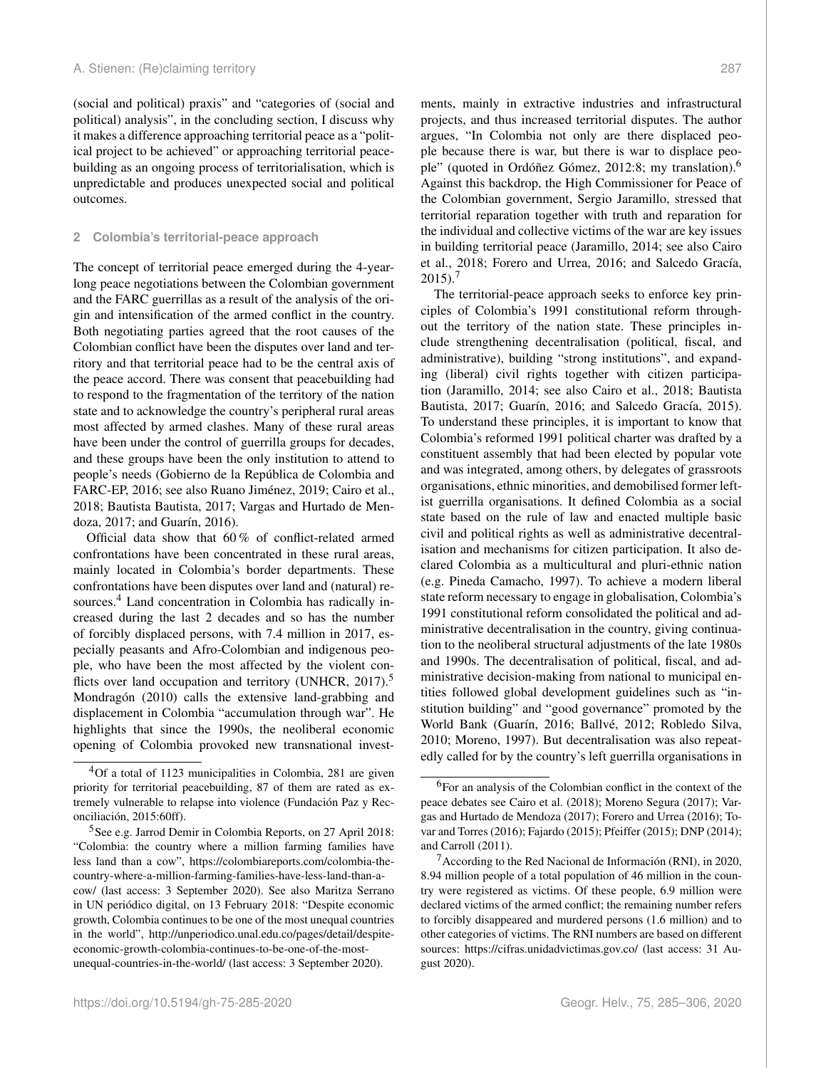(social and political) praxis" and "categories of (social and political) analysis", in the concluding section, I discuss why it makes a difference approaching territorial peace as a "political project to be achieved" or approaching territorial peacebuilding as an ongoing process of territorialisation, which is unpredictable and produces unexpected social and political outcomes.

### **2 Colombia's territorial-peace approach**

The concept of territorial peace emerged during the 4-yearlong peace negotiations between the Colombian government and the FARC guerrillas as a result of the analysis of the origin and intensification of the armed conflict in the country. Both negotiating parties agreed that the root causes of the Colombian conflict have been the disputes over land and territory and that territorial peace had to be the central axis of the peace accord. There was consent that peacebuilding had to respond to the fragmentation of the territory of the nation state and to acknowledge the country's peripheral rural areas most affected by armed clashes. Many of these rural areas have been under the control of guerrilla groups for decades, and these groups have been the only institution to attend to people's needs (Gobierno de la República de Colombia and FARC-EP, 2016; see also Ruano Jiménez, 2019; Cairo et al., 2018; Bautista Bautista, 2017; Vargas and Hurtado de Mendoza, 2017; and Guarín, 2016).

Official data show that 60 % of conflict-related armed confrontations have been concentrated in these rural areas, mainly located in Colombia's border departments. These confrontations have been disputes over land and (natural) re-sources.<sup>[4](#page-2-0)</sup> Land concentration in Colombia has radically increased during the last 2 decades and so has the number of forcibly displaced persons, with 7.4 million in 2017, especially peasants and Afro-Colombian and indigenous people, who have been the most affected by the violent con-flicts over land occupation and territory (UNHCR, 2017).<sup>[5](#page-2-1)</sup> Mondragón (2010) calls the extensive land-grabbing and displacement in Colombia "accumulation through war". He highlights that since the 1990s, the neoliberal economic opening of Colombia provoked new transnational investments, mainly in extractive industries and infrastructural projects, and thus increased territorial disputes. The author argues, "In Colombia not only are there displaced people because there is war, but there is war to displace people" (quoted in Ordóñez Gómez, 2012:8; my translation).[6](#page-2-2) Against this backdrop, the High Commissioner for Peace of the Colombian government, Sergio Jaramillo, stressed that territorial reparation together with truth and reparation for the individual and collective victims of the war are key issues in building territorial peace (Jaramillo, 2014; see also Cairo et al., 2018; Forero and Urrea, 2016; and Salcedo Gracía,  $2015$ ).<sup>[7](#page-2-3)</sup>

The territorial-peace approach seeks to enforce key principles of Colombia's 1991 constitutional reform throughout the territory of the nation state. These principles include strengthening decentralisation (political, fiscal, and administrative), building "strong institutions", and expanding (liberal) civil rights together with citizen participation (Jaramillo, 2014; see also Cairo et al., 2018; Bautista Bautista, 2017; Guarín, 2016; and Salcedo Gracía, 2015). To understand these principles, it is important to know that Colombia's reformed 1991 political charter was drafted by a constituent assembly that had been elected by popular vote and was integrated, among others, by delegates of grassroots organisations, ethnic minorities, and demobilised former leftist guerrilla organisations. It defined Colombia as a social state based on the rule of law and enacted multiple basic civil and political rights as well as administrative decentralisation and mechanisms for citizen participation. It also declared Colombia as a multicultural and pluri-ethnic nation (e.g. Pineda Camacho, 1997). To achieve a modern liberal state reform necessary to engage in globalisation, Colombia's 1991 constitutional reform consolidated the political and administrative decentralisation in the country, giving continuation to the neoliberal structural adjustments of the late 1980s and 1990s. The decentralisation of political, fiscal, and administrative decision-making from national to municipal entities followed global development guidelines such as "institution building" and "good governance" promoted by the World Bank (Guarín, 2016; Ballvé, 2012; Robledo Silva, 2010; Moreno, 1997). But decentralisation was also repeatedly called for by the country's left guerrilla organisations in

<span id="page-2-0"></span> ${}^{4}$ Of a total of 1123 municipalities in Colombia, 281 are given priority for territorial peacebuilding, 87 of them are rated as extremely vulnerable to relapse into violence (Fundación Paz y Reconciliación, 2015:60ff).

<span id="page-2-1"></span><sup>5</sup>See e.g. Jarrod Demir in Colombia Reports, on 27 April 2018: "Colombia: the country where a million farming families have less land than a cow", [https://colombiareports.com/colombia-the](https://colombiareports.com/colombia-the-country-where-a-million-farming-families-have-less-land-than-a-cow/)[country-where-a-million-farming-families-have-less-land-than-a](https://colombiareports.com/colombia-the-country-where-a-million-farming-families-have-less-land-than-a-cow/)[cow/](https://colombiareports.com/colombia-the-country-where-a-million-farming-families-have-less-land-than-a-cow/) (last access: 3 September 2020). See also Maritza Serrano in UN periódico digital, on 13 February 2018: "Despite economic growth, Colombia continues to be one of the most unequal countries in the world", [http://unperiodico.unal.edu.co/pages/detail/despite](http://unperiodico.unal.edu.co/pages/detail/despite-economic-growth-colombia-continues-to-be-one-of-the-most-unequal-countries-in-the-world/)[economic-growth-colombia-continues-to-be-one-of-the-most](http://unperiodico.unal.edu.co/pages/detail/despite-economic-growth-colombia-continues-to-be-one-of-the-most-unequal-countries-in-the-world/)[unequal-countries-in-the-world/](http://unperiodico.unal.edu.co/pages/detail/despite-economic-growth-colombia-continues-to-be-one-of-the-most-unequal-countries-in-the-world/) (last access: 3 September 2020).

<span id="page-2-2"></span><sup>6</sup>For an analysis of the Colombian conflict in the context of the peace debates see Cairo et al. (2018); Moreno Segura (2017); Vargas and Hurtado de Mendoza (2017); Forero and Urrea (2016); Tovar and Torres (2016); Fajardo (2015); Pfeiffer (2015); DNP (2014); and Carroll (2011).

<span id="page-2-3"></span> $\alpha$ <sup>7</sup> According to the Red Nacional de Información (RNI), in 2020, 8.94 million people of a total population of 46 million in the country were registered as victims. Of these people, 6.9 million were declared victims of the armed conflict; the remaining number refers to forcibly disappeared and murdered persons (1.6 million) and to other categories of victims. The RNI numbers are based on different sources: https://cifras.unidadvictimas.gov.co/ (last access: 31 August 2020).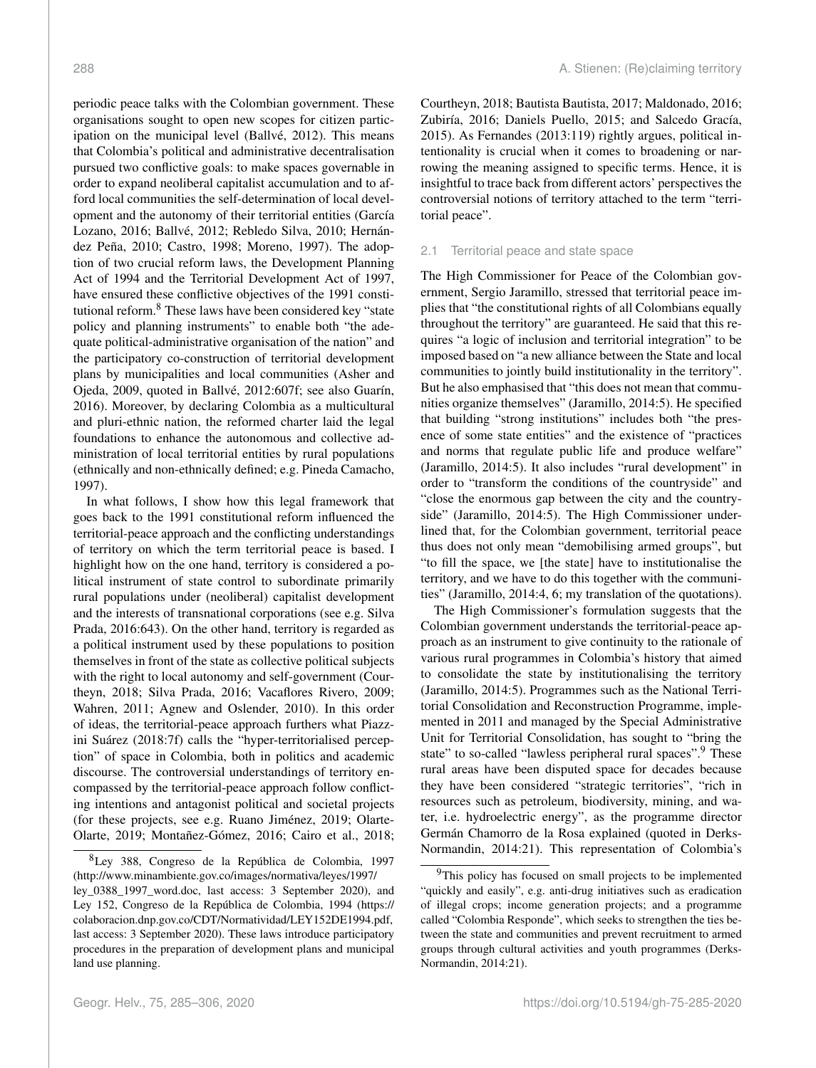periodic peace talks with the Colombian government. These organisations sought to open new scopes for citizen participation on the municipal level (Ballvé, 2012). This means that Colombia's political and administrative decentralisation pursued two conflictive goals: to make spaces governable in order to expand neoliberal capitalist accumulation and to afford local communities the self-determination of local development and the autonomy of their territorial entities (García Lozano, 2016; Ballvé, 2012; Rebledo Silva, 2010; Hernández Peña, 2010; Castro, 1998; Moreno, 1997). The adoption of two crucial reform laws, the Development Planning Act of 1994 and the Territorial Development Act of 1997, have ensured these conflictive objectives of the 1991 consti-tutional reform.<sup>[8](#page-3-0)</sup> These laws have been considered key "state policy and planning instruments" to enable both "the adequate political-administrative organisation of the nation" and the participatory co-construction of territorial development plans by municipalities and local communities (Asher and Ojeda, 2009, quoted in Ballvé, 2012:607f; see also Guarín, 2016). Moreover, by declaring Colombia as a multicultural and pluri-ethnic nation, the reformed charter laid the legal foundations to enhance the autonomous and collective administration of local territorial entities by rural populations (ethnically and non-ethnically defined; e.g. Pineda Camacho, 1997).

In what follows, I show how this legal framework that goes back to the 1991 constitutional reform influenced the territorial-peace approach and the conflicting understandings of territory on which the term territorial peace is based. I highlight how on the one hand, territory is considered a political instrument of state control to subordinate primarily rural populations under (neoliberal) capitalist development and the interests of transnational corporations (see e.g. Silva Prada, 2016:643). On the other hand, territory is regarded as a political instrument used by these populations to position themselves in front of the state as collective political subjects with the right to local autonomy and self-government (Courtheyn, 2018; Silva Prada, 2016; Vacaflores Rivero, 2009; Wahren, 2011; Agnew and Oslender, 2010). In this order of ideas, the territorial-peace approach furthers what Piazzini Suárez (2018:7f) calls the "hyper-territorialised perception" of space in Colombia, both in politics and academic discourse. The controversial understandings of territory encompassed by the territorial-peace approach follow conflicting intentions and antagonist political and societal projects (for these projects, see e.g. Ruano Jiménez, 2019; Olarte-Olarte, 2019; Montañez-Gómez, 2016; Cairo et al., 2018; Courtheyn, 2018; Bautista Bautista, 2017; Maldonado, 2016; Zubiría, 2016; Daniels Puello, 2015; and Salcedo Gracía, 2015). As Fernandes (2013:119) rightly argues, political intentionality is crucial when it comes to broadening or narrowing the meaning assigned to specific terms. Hence, it is insightful to trace back from different actors' perspectives the controversial notions of territory attached to the term "territorial peace".

# 2.1 Territorial peace and state space

The High Commissioner for Peace of the Colombian government, Sergio Jaramillo, stressed that territorial peace implies that "the constitutional rights of all Colombians equally throughout the territory" are guaranteed. He said that this requires "a logic of inclusion and territorial integration" to be imposed based on "a new alliance between the State and local communities to jointly build institutionality in the territory". But he also emphasised that "this does not mean that communities organize themselves" (Jaramillo, 2014:5). He specified that building "strong institutions" includes both "the presence of some state entities" and the existence of "practices and norms that regulate public life and produce welfare" (Jaramillo, 2014:5). It also includes "rural development" in order to "transform the conditions of the countryside" and "close the enormous gap between the city and the countryside" (Jaramillo, 2014:5). The High Commissioner underlined that, for the Colombian government, territorial peace thus does not only mean "demobilising armed groups", but "to fill the space, we [the state] have to institutionalise the territory, and we have to do this together with the communities" (Jaramillo, 2014:4, 6; my translation of the quotations).

The High Commissioner's formulation suggests that the Colombian government understands the territorial-peace approach as an instrument to give continuity to the rationale of various rural programmes in Colombia's history that aimed to consolidate the state by institutionalising the territory (Jaramillo, 2014:5). Programmes such as the National Territorial Consolidation and Reconstruction Programme, implemented in 2011 and managed by the Special Administrative Unit for Territorial Consolidation, has sought to "bring the state" to so-called "lawless peripheral rural spaces".<sup>[9](#page-3-1)</sup> These rural areas have been disputed space for decades because they have been considered "strategic territories", "rich in resources such as petroleum, biodiversity, mining, and water, i.e. hydroelectric energy", as the programme director Germán Chamorro de la Rosa explained (quoted in Derks-Normandin, 2014:21). This representation of Colombia's

<span id="page-3-0"></span><sup>8</sup>Ley 388, Congreso de la República de Colombia, 1997 [\(http://www.minambiente.gov.co/images/normativa/leyes/1997/](http://www.minambiente.gov.co/images/normativa/leyes/1997/ley_0388_1997_word.doc) [ley\\_0388\\_1997\\_word.doc,](http://www.minambiente.gov.co/images/normativa/leyes/1997/ley_0388_1997_word.doc) last access: 3 September 2020), and Ley 152, Congreso de la República de Colombia, 1994 [\(https://](https://colaboracion.dnp.gov.co/CDT/Normatividad/LEY 152 DE 1994.pdf) [colaboracion.dnp.gov.co/CDT/Normatividad/LEY152DE1994.pdf,](https://colaboracion.dnp.gov.co/CDT/Normatividad/LEY 152 DE 1994.pdf) last access: 3 September 2020). These laws introduce participatory procedures in the preparation of development plans and municipal land use planning.

<span id="page-3-1"></span><sup>&</sup>lt;sup>9</sup>This policy has focused on small projects to be implemented "quickly and easily", e.g. anti-drug initiatives such as eradication of illegal crops; income generation projects; and a programme called "Colombia Responde", which seeks to strengthen the ties between the state and communities and prevent recruitment to armed groups through cultural activities and youth programmes (Derks-Normandin, 2014:21).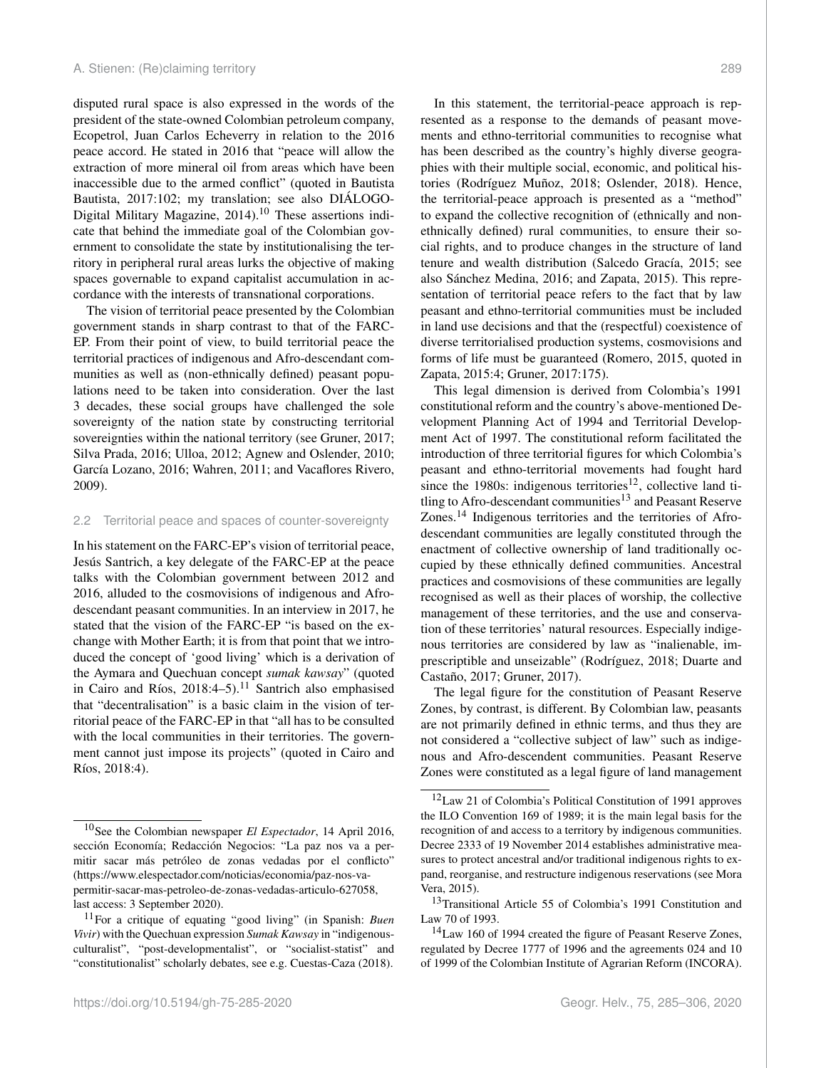disputed rural space is also expressed in the words of the president of the state-owned Colombian petroleum company, Ecopetrol, Juan Carlos Echeverry in relation to the 2016 peace accord. He stated in 2016 that "peace will allow the extraction of more mineral oil from areas which have been inaccessible due to the armed conflict" (quoted in Bautista Bautista, 2017:102; my translation; see also DIÁLOGO-Digital Military Magazine,  $2014$ .<sup>[10](#page-4-0)</sup> These assertions indicate that behind the immediate goal of the Colombian government to consolidate the state by institutionalising the territory in peripheral rural areas lurks the objective of making spaces governable to expand capitalist accumulation in accordance with the interests of transnational corporations.

The vision of territorial peace presented by the Colombian government stands in sharp contrast to that of the FARC-EP. From their point of view, to build territorial peace the territorial practices of indigenous and Afro-descendant communities as well as (non-ethnically defined) peasant populations need to be taken into consideration. Over the last 3 decades, these social groups have challenged the sole sovereignty of the nation state by constructing territorial sovereignties within the national territory (see Gruner, 2017; Silva Prada, 2016; Ulloa, 2012; Agnew and Oslender, 2010; García Lozano, 2016; Wahren, 2011; and Vacaflores Rivero, 2009).

#### 2.2 Territorial peace and spaces of counter-sovereignty

In his statement on the FARC-EP's vision of territorial peace, Jesús Santrich, a key delegate of the FARC-EP at the peace talks with the Colombian government between 2012 and 2016, alluded to the cosmovisions of indigenous and Afrodescendant peasant communities. In an interview in 2017, he stated that the vision of the FARC-EP "is based on the exchange with Mother Earth; it is from that point that we introduced the concept of 'good living' which is a derivation of the Aymara and Quechuan concept *sumak kawsay*" (quoted in Cairo and Ríos,  $2018:4-5$ .<sup>[11](#page-4-1)</sup> Santrich also emphasised that "decentralisation" is a basic claim in the vision of territorial peace of the FARC-EP in that "all has to be consulted with the local communities in their territories. The government cannot just impose its projects" (quoted in Cairo and Ríos, 2018:4).

In this statement, the territorial-peace approach is represented as a response to the demands of peasant movements and ethno-territorial communities to recognise what has been described as the country's highly diverse geographies with their multiple social, economic, and political histories (Rodríguez Muñoz, 2018; Oslender, 2018). Hence, the territorial-peace approach is presented as a "method" to expand the collective recognition of (ethnically and nonethnically defined) rural communities, to ensure their social rights, and to produce changes in the structure of land tenure and wealth distribution (Salcedo Gracía, 2015; see also Sánchez Medina, 2016; and Zapata, 2015). This representation of territorial peace refers to the fact that by law peasant and ethno-territorial communities must be included in land use decisions and that the (respectful) coexistence of diverse territorialised production systems, cosmovisions and forms of life must be guaranteed (Romero, 2015, quoted in Zapata, 2015:4; Gruner, 2017:175).

This legal dimension is derived from Colombia's 1991 constitutional reform and the country's above-mentioned Development Planning Act of 1994 and Territorial Development Act of 1997. The constitutional reform facilitated the introduction of three territorial figures for which Colombia's peasant and ethno-territorial movements had fought hard since the 1980s: indigenous territories<sup>[12](#page-4-2)</sup>, collective land ti-tling to Afro-descendant communities<sup>[13](#page-4-3)</sup> and Peasant Reserve Zones.[14](#page-4-4) Indigenous territories and the territories of Afrodescendant communities are legally constituted through the enactment of collective ownership of land traditionally occupied by these ethnically defined communities. Ancestral practices and cosmovisions of these communities are legally recognised as well as their places of worship, the collective management of these territories, and the use and conservation of these territories' natural resources. Especially indigenous territories are considered by law as "inalienable, imprescriptible and unseizable" (Rodríguez, 2018; Duarte and Castaño, 2017; Gruner, 2017).

The legal figure for the constitution of Peasant Reserve Zones, by contrast, is different. By Colombian law, peasants are not primarily defined in ethnic terms, and thus they are not considered a "collective subject of law" such as indigenous and Afro-descendent communities. Peasant Reserve Zones were constituted as a legal figure of land management

<span id="page-4-0"></span><sup>10</sup>See the Colombian newspaper *El Espectador*, 14 April 2016, sección Economía; Redacción Negocios: "La paz nos va a permitir sacar más petróleo de zonas vedadas por el conflicto" [\(https://www.elespectador.com/noticias/economia/paz-nos-va](https://www.elespectador.com/noticias/economia/paz-nos-va-permitir-sacar-mas-petroleo-de-zonas-vedadas-articulo-627058)[permitir-sacar-mas-petroleo-de-zonas-vedadas-articulo-627058,](https://www.elespectador.com/noticias/economia/paz-nos-va-permitir-sacar-mas-petroleo-de-zonas-vedadas-articulo-627058) last access: 3 September 2020).

<span id="page-4-1"></span><sup>11</sup>For a critique of equating "good living" (in Spanish: *Buen Vivir*) with the Quechuan expression *Sumak Kawsay* in "indigenousculturalist", "post-developmentalist", or "socialist-statist" and "constitutionalist" scholarly debates, see e.g. Cuestas-Caza (2018).

<span id="page-4-2"></span><sup>12</sup>Law 21 of Colombia's Political Constitution of 1991 approves the ILO Convention 169 of 1989; it is the main legal basis for the recognition of and access to a territory by indigenous communities. Decree 2333 of 19 November 2014 establishes administrative measures to protect ancestral and/or traditional indigenous rights to expand, reorganise, and restructure indigenous reservations (see Mora Vera, 2015).

<span id="page-4-3"></span><sup>&</sup>lt;sup>13</sup>Transitional Article 55 of Colombia's 1991 Constitution and Law 70 of 1993.

<span id="page-4-4"></span><sup>&</sup>lt;sup>14</sup>Law 160 of 1994 created the figure of Peasant Reserve Zones, regulated by Decree 1777 of 1996 and the agreements 024 and 10 of 1999 of the Colombian Institute of Agrarian Reform (INCORA).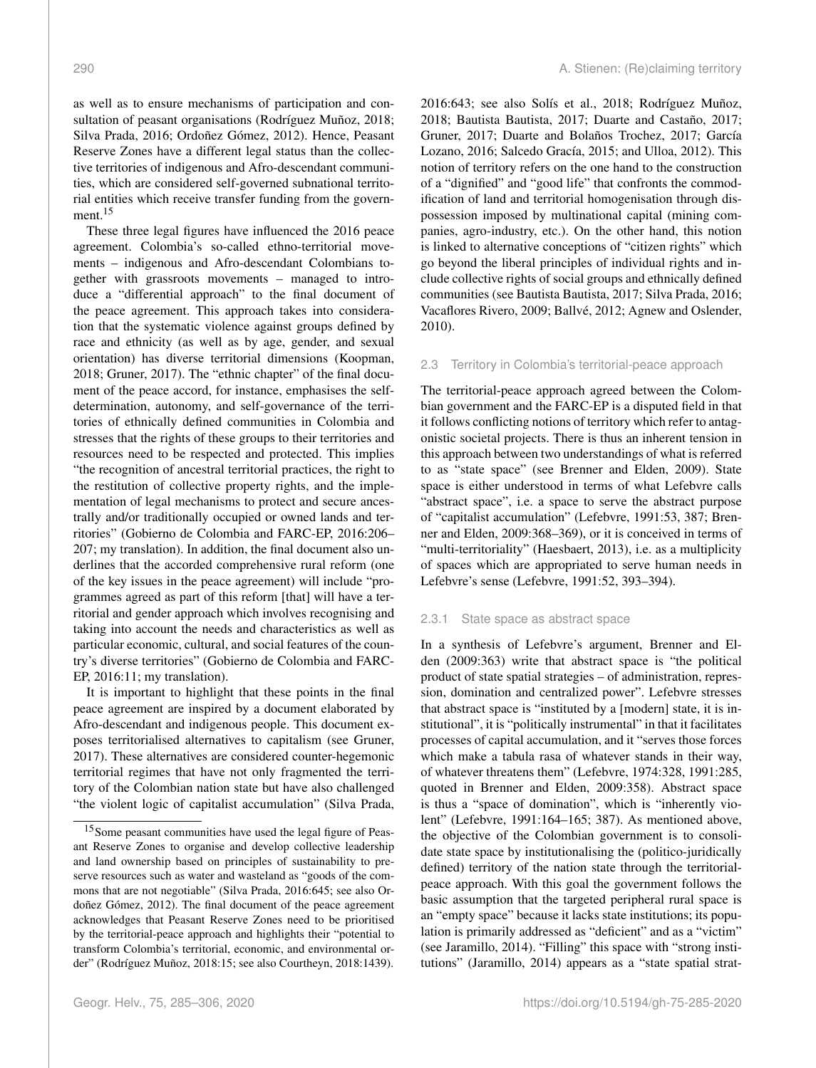as well as to ensure mechanisms of participation and consultation of peasant organisations (Rodríguez Muñoz, 2018; Silva Prada, 2016; Ordoñez Gómez, 2012). Hence, Peasant Reserve Zones have a different legal status than the collective territories of indigenous and Afro-descendant communities, which are considered self-governed subnational territorial entities which receive transfer funding from the govern-ment.<sup>[15](#page-5-0)</sup>

These three legal figures have influenced the 2016 peace agreement. Colombia's so-called ethno-territorial movements – indigenous and Afro-descendant Colombians together with grassroots movements – managed to introduce a "differential approach" to the final document of the peace agreement. This approach takes into consideration that the systematic violence against groups defined by race and ethnicity (as well as by age, gender, and sexual orientation) has diverse territorial dimensions (Koopman, 2018; Gruner, 2017). The "ethnic chapter" of the final document of the peace accord, for instance, emphasises the selfdetermination, autonomy, and self-governance of the territories of ethnically defined communities in Colombia and stresses that the rights of these groups to their territories and resources need to be respected and protected. This implies "the recognition of ancestral territorial practices, the right to the restitution of collective property rights, and the implementation of legal mechanisms to protect and secure ancestrally and/or traditionally occupied or owned lands and territories" (Gobierno de Colombia and FARC-EP, 2016:206– 207; my translation). In addition, the final document also underlines that the accorded comprehensive rural reform (one of the key issues in the peace agreement) will include "programmes agreed as part of this reform [that] will have a territorial and gender approach which involves recognising and taking into account the needs and characteristics as well as particular economic, cultural, and social features of the country's diverse territories" (Gobierno de Colombia and FARC-EP, 2016:11; my translation).

It is important to highlight that these points in the final peace agreement are inspired by a document elaborated by Afro-descendant and indigenous people. This document exposes territorialised alternatives to capitalism (see Gruner, 2017). These alternatives are considered counter-hegemonic territorial regimes that have not only fragmented the territory of the Colombian nation state but have also challenged "the violent logic of capitalist accumulation" (Silva Prada, 2016:643; see also Solís et al., 2018; Rodríguez Muñoz, 2018; Bautista Bautista, 2017; Duarte and Castaño, 2017; Gruner, 2017; Duarte and Bolaños Trochez, 2017; García Lozano, 2016; Salcedo Gracía, 2015; and Ulloa, 2012). This notion of territory refers on the one hand to the construction of a "dignified" and "good life" that confronts the commodification of land and territorial homogenisation through dispossession imposed by multinational capital (mining companies, agro-industry, etc.). On the other hand, this notion is linked to alternative conceptions of "citizen rights" which go beyond the liberal principles of individual rights and include collective rights of social groups and ethnically defined communities (see Bautista Bautista, 2017; Silva Prada, 2016; Vacaflores Rivero, 2009; Ballvé, 2012; Agnew and Oslender, 2010).

#### 2.3 Territory in Colombia's territorial-peace approach

The territorial-peace approach agreed between the Colombian government and the FARC-EP is a disputed field in that it follows conflicting notions of territory which refer to antagonistic societal projects. There is thus an inherent tension in this approach between two understandings of what is referred to as "state space" (see Brenner and Elden, 2009). State space is either understood in terms of what Lefebvre calls "abstract space", i.e. a space to serve the abstract purpose of "capitalist accumulation" (Lefebvre, 1991:53, 387; Brenner and Elden, 2009:368–369), or it is conceived in terms of "multi-territoriality" (Haesbaert, 2013), i.e. as a multiplicity of spaces which are appropriated to serve human needs in Lefebvre's sense (Lefebvre, 1991:52, 393–394).

# 2.3.1 State space as abstract space

In a synthesis of Lefebvre's argument, Brenner and Elden (2009:363) write that abstract space is "the political product of state spatial strategies – of administration, repression, domination and centralized power". Lefebvre stresses that abstract space is "instituted by a [modern] state, it is institutional", it is "politically instrumental" in that it facilitates processes of capital accumulation, and it "serves those forces which make a tabula rasa of whatever stands in their way, of whatever threatens them" (Lefebvre, 1974:328, 1991:285, quoted in Brenner and Elden, 2009:358). Abstract space is thus a "space of domination", which is "inherently violent" (Lefebvre, 1991:164–165; 387). As mentioned above, the objective of the Colombian government is to consolidate state space by institutionalising the (politico-juridically defined) territory of the nation state through the territorialpeace approach. With this goal the government follows the basic assumption that the targeted peripheral rural space is an "empty space" because it lacks state institutions; its population is primarily addressed as "deficient" and as a "victim" (see Jaramillo, 2014). "Filling" this space with "strong institutions" (Jaramillo, 2014) appears as a "state spatial strat-

<span id="page-5-0"></span><sup>15</sup>Some peasant communities have used the legal figure of Peasant Reserve Zones to organise and develop collective leadership and land ownership based on principles of sustainability to preserve resources such as water and wasteland as "goods of the commons that are not negotiable" (Silva Prada, 2016:645; see also Ordoñez Gómez, 2012). The final document of the peace agreement acknowledges that Peasant Reserve Zones need to be prioritised by the territorial-peace approach and highlights their "potential to transform Colombia's territorial, economic, and environmental order" (Rodríguez Muñoz, 2018:15; see also Courtheyn, 2018:1439).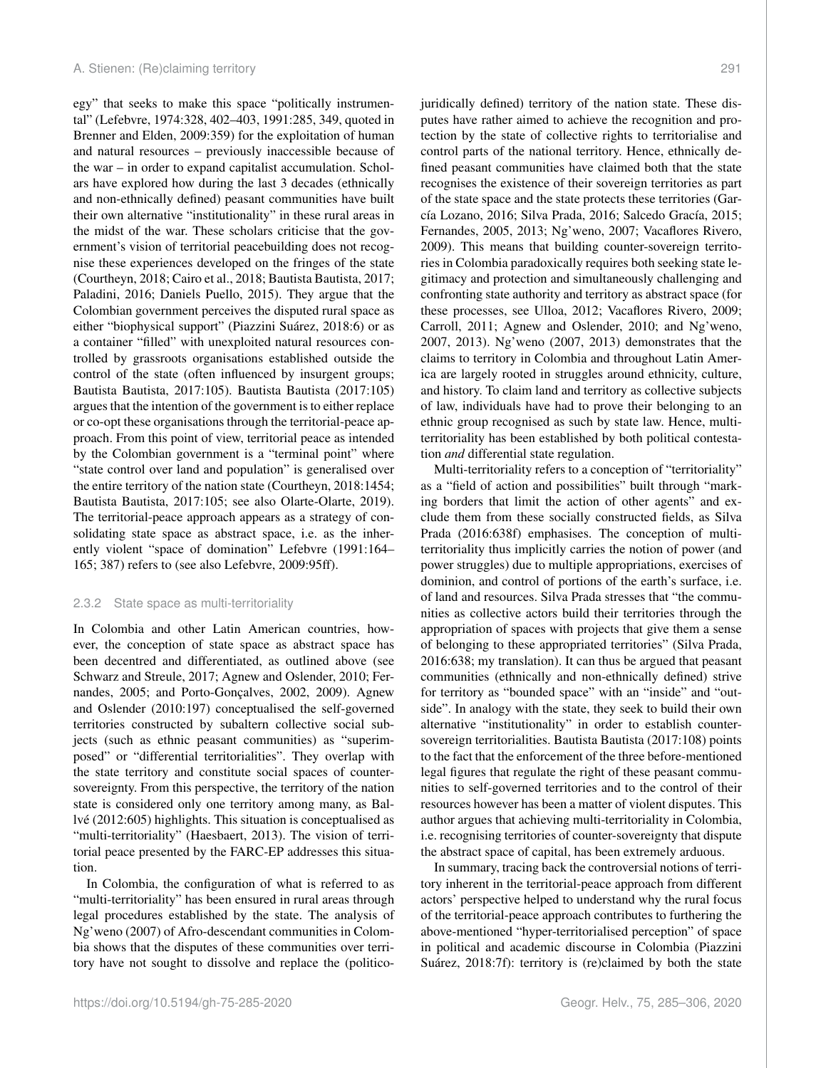egy" that seeks to make this space "politically instrumental" (Lefebvre, 1974:328, 402–403, 1991:285, 349, quoted in Brenner and Elden, 2009:359) for the exploitation of human and natural resources – previously inaccessible because of the war – in order to expand capitalist accumulation. Scholars have explored how during the last 3 decades (ethnically and non-ethnically defined) peasant communities have built their own alternative "institutionality" in these rural areas in the midst of the war. These scholars criticise that the government's vision of territorial peacebuilding does not recognise these experiences developed on the fringes of the state (Courtheyn, 2018; Cairo et al., 2018; Bautista Bautista, 2017; Paladini, 2016; Daniels Puello, 2015). They argue that the Colombian government perceives the disputed rural space as either "biophysical support" (Piazzini Suárez, 2018:6) or as a container "filled" with unexploited natural resources controlled by grassroots organisations established outside the control of the state (often influenced by insurgent groups; Bautista Bautista, 2017:105). Bautista Bautista (2017:105) argues that the intention of the government is to either replace or co-opt these organisations through the territorial-peace approach. From this point of view, territorial peace as intended by the Colombian government is a "terminal point" where "state control over land and population" is generalised over the entire territory of the nation state (Courtheyn, 2018:1454; Bautista Bautista, 2017:105; see also Olarte-Olarte, 2019). The territorial-peace approach appears as a strategy of consolidating state space as abstract space, i.e. as the inherently violent "space of domination" Lefebvre (1991:164– 165; 387) refers to (see also Lefebvre, 2009:95ff).

#### 2.3.2 State space as multi-territoriality

In Colombia and other Latin American countries, however, the conception of state space as abstract space has been decentred and differentiated, as outlined above (see Schwarz and Streule, 2017; Agnew and Oslender, 2010; Fernandes, 2005; and Porto-Gonçalves, 2002, 2009). Agnew and Oslender (2010:197) conceptualised the self-governed territories constructed by subaltern collective social subjects (such as ethnic peasant communities) as "superimposed" or "differential territorialities". They overlap with the state territory and constitute social spaces of countersovereignty. From this perspective, the territory of the nation state is considered only one territory among many, as Ballvé (2012:605) highlights. This situation is conceptualised as "multi-territoriality" (Haesbaert, 2013). The vision of territorial peace presented by the FARC-EP addresses this situation.

In Colombia, the configuration of what is referred to as "multi-territoriality" has been ensured in rural areas through legal procedures established by the state. The analysis of Ng'weno (2007) of Afro-descendant communities in Colombia shows that the disputes of these communities over territory have not sought to dissolve and replace the (politicojuridically defined) territory of the nation state. These disputes have rather aimed to achieve the recognition and protection by the state of collective rights to territorialise and control parts of the national territory. Hence, ethnically defined peasant communities have claimed both that the state recognises the existence of their sovereign territories as part of the state space and the state protects these territories (García Lozano, 2016; Silva Prada, 2016; Salcedo Gracía, 2015; Fernandes, 2005, 2013; Ng'weno, 2007; Vacaflores Rivero, 2009). This means that building counter-sovereign territories in Colombia paradoxically requires both seeking state legitimacy and protection and simultaneously challenging and confronting state authority and territory as abstract space (for these processes, see Ulloa, 2012; Vacaflores Rivero, 2009; Carroll, 2011; Agnew and Oslender, 2010; and Ng'weno, 2007, 2013). Ng'weno (2007, 2013) demonstrates that the claims to territory in Colombia and throughout Latin America are largely rooted in struggles around ethnicity, culture, and history. To claim land and territory as collective subjects of law, individuals have had to prove their belonging to an ethnic group recognised as such by state law. Hence, multiterritoriality has been established by both political contestation *and* differential state regulation.

Multi-territoriality refers to a conception of "territoriality" as a "field of action and possibilities" built through "marking borders that limit the action of other agents" and exclude them from these socially constructed fields, as Silva Prada (2016:638f) emphasises. The conception of multiterritoriality thus implicitly carries the notion of power (and power struggles) due to multiple appropriations, exercises of dominion, and control of portions of the earth's surface, i.e. of land and resources. Silva Prada stresses that "the communities as collective actors build their territories through the appropriation of spaces with projects that give them a sense of belonging to these appropriated territories" (Silva Prada, 2016:638; my translation). It can thus be argued that peasant communities (ethnically and non-ethnically defined) strive for territory as "bounded space" with an "inside" and "outside". In analogy with the state, they seek to build their own alternative "institutionality" in order to establish countersovereign territorialities. Bautista Bautista (2017:108) points to the fact that the enforcement of the three before-mentioned legal figures that regulate the right of these peasant communities to self-governed territories and to the control of their resources however has been a matter of violent disputes. This author argues that achieving multi-territoriality in Colombia, i.e. recognising territories of counter-sovereignty that dispute the abstract space of capital, has been extremely arduous.

In summary, tracing back the controversial notions of territory inherent in the territorial-peace approach from different actors' perspective helped to understand why the rural focus of the territorial-peace approach contributes to furthering the above-mentioned "hyper-territorialised perception" of space in political and academic discourse in Colombia (Piazzini Suárez, 2018:7f): territory is (re)claimed by both the state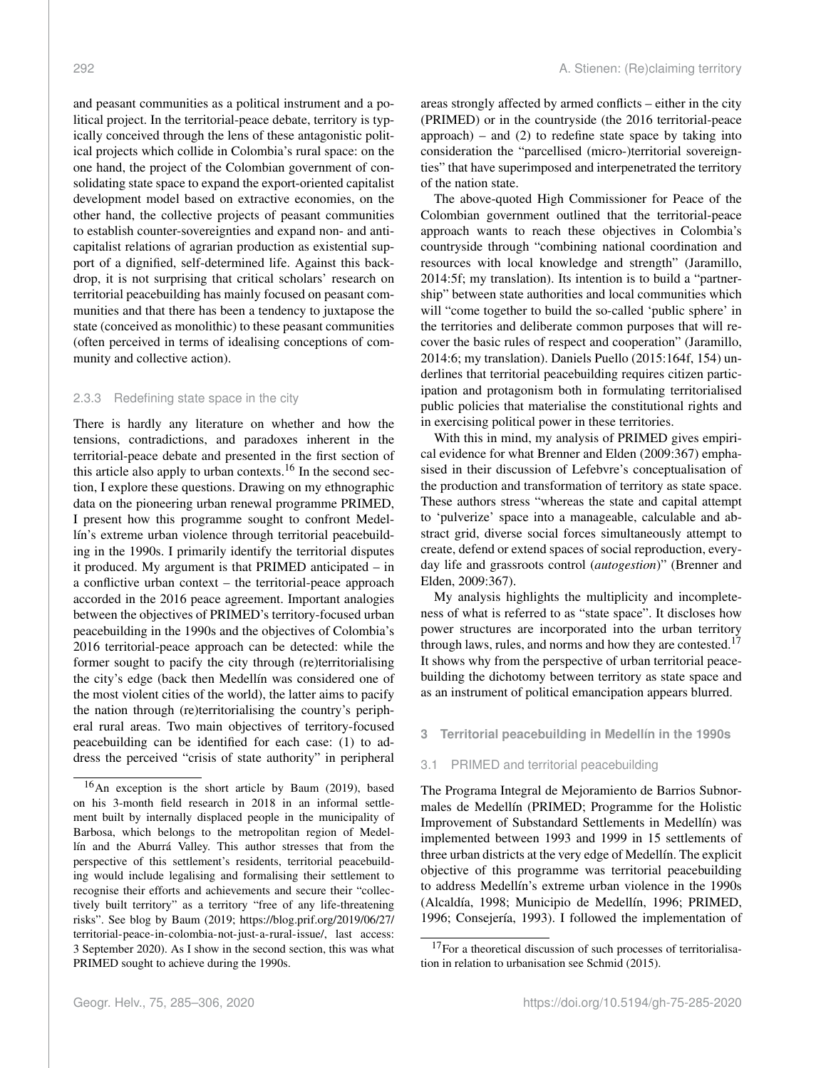and peasant communities as a political instrument and a political project. In the territorial-peace debate, territory is typically conceived through the lens of these antagonistic political projects which collide in Colombia's rural space: on the one hand, the project of the Colombian government of consolidating state space to expand the export-oriented capitalist development model based on extractive economies, on the other hand, the collective projects of peasant communities to establish counter-sovereignties and expand non- and anticapitalist relations of agrarian production as existential support of a dignified, self-determined life. Against this backdrop, it is not surprising that critical scholars' research on territorial peacebuilding has mainly focused on peasant communities and that there has been a tendency to juxtapose the state (conceived as monolithic) to these peasant communities (often perceived in terms of idealising conceptions of community and collective action).

#### 2.3.3 Redefining state space in the city

There is hardly any literature on whether and how the tensions, contradictions, and paradoxes inherent in the territorial-peace debate and presented in the first section of this article also apply to urban contexts.<sup>[16](#page-7-0)</sup> In the second section, I explore these questions. Drawing on my ethnographic data on the pioneering urban renewal programme PRIMED, I present how this programme sought to confront Medellín's extreme urban violence through territorial peacebuilding in the 1990s. I primarily identify the territorial disputes it produced. My argument is that PRIMED anticipated – in a conflictive urban context – the territorial-peace approach accorded in the 2016 peace agreement. Important analogies between the objectives of PRIMED's territory-focused urban peacebuilding in the 1990s and the objectives of Colombia's 2016 territorial-peace approach can be detected: while the former sought to pacify the city through (re)territorialising the city's edge (back then Medellín was considered one of the most violent cities of the world), the latter aims to pacify the nation through (re)territorialising the country's peripheral rural areas. Two main objectives of territory-focused peacebuilding can be identified for each case: (1) to address the perceived "crisis of state authority" in peripheral

areas strongly affected by armed conflicts – either in the city (PRIMED) or in the countryside (the 2016 territorial-peace  $approach$ ) – and (2) to redefine state space by taking into consideration the "parcellised (micro-)territorial sovereignties" that have superimposed and interpenetrated the territory of the nation state.

The above-quoted High Commissioner for Peace of the Colombian government outlined that the territorial-peace approach wants to reach these objectives in Colombia's countryside through "combining national coordination and resources with local knowledge and strength" (Jaramillo, 2014:5f; my translation). Its intention is to build a "partnership" between state authorities and local communities which will "come together to build the so-called 'public sphere' in the territories and deliberate common purposes that will recover the basic rules of respect and cooperation" (Jaramillo, 2014:6; my translation). Daniels Puello (2015:164f, 154) underlines that territorial peacebuilding requires citizen participation and protagonism both in formulating territorialised public policies that materialise the constitutional rights and in exercising political power in these territories.

With this in mind, my analysis of PRIMED gives empirical evidence for what Brenner and Elden (2009:367) emphasised in their discussion of Lefebvre's conceptualisation of the production and transformation of territory as state space. These authors stress "whereas the state and capital attempt to 'pulverize' space into a manageable, calculable and abstract grid, diverse social forces simultaneously attempt to create, defend or extend spaces of social reproduction, everyday life and grassroots control (*autogestion*)" (Brenner and Elden, 2009:367).

My analysis highlights the multiplicity and incompleteness of what is referred to as "state space". It discloses how power structures are incorporated into the urban territory through laws, rules, and norms and how they are contested.<sup>[17](#page-7-1)</sup> It shows why from the perspective of urban territorial peacebuilding the dichotomy between territory as state space and as an instrument of political emancipation appears blurred.

- **3 Territorial peacebuilding in Medellín in the 1990s**
- 3.1 PRIMED and territorial peacebuilding

The Programa Integral de Mejoramiento de Barrios Subnormales de Medellín (PRIMED; Programme for the Holistic Improvement of Substandard Settlements in Medellín) was implemented between 1993 and 1999 in 15 settlements of three urban districts at the very edge of Medellín. The explicit objective of this programme was territorial peacebuilding to address Medellín's extreme urban violence in the 1990s (Alcaldía, 1998; Municipio de Medellín, 1996; PRIMED, 1996; Consejería, 1993). I followed the implementation of

<span id="page-7-0"></span><sup>16</sup>An exception is the short article by Baum (2019), based on his 3-month field research in 2018 in an informal settlement built by internally displaced people in the municipality of Barbosa, which belongs to the metropolitan region of Medellín and the Aburrá Valley. This author stresses that from the perspective of this settlement's residents, territorial peacebuilding would include legalising and formalising their settlement to recognise their efforts and achievements and secure their "collectively built territory" as a territory "free of any life-threatening risks". See blog by Baum (2019; [https://blog.prif.org/2019/06/27/](https://blog.prif.org/2019/06/27/territorial-peace-in-colombia-not-just-a-rural-issue/) [territorial-peace-in-colombia-not-just-a-rural-issue/,](https://blog.prif.org/2019/06/27/territorial-peace-in-colombia-not-just-a-rural-issue/) last access: 3 September 2020). As I show in the second section, this was what PRIMED sought to achieve during the 1990s.

<span id="page-7-1"></span><sup>&</sup>lt;sup>17</sup>For a theoretical discussion of such processes of territorialisation in relation to urbanisation see Schmid (2015).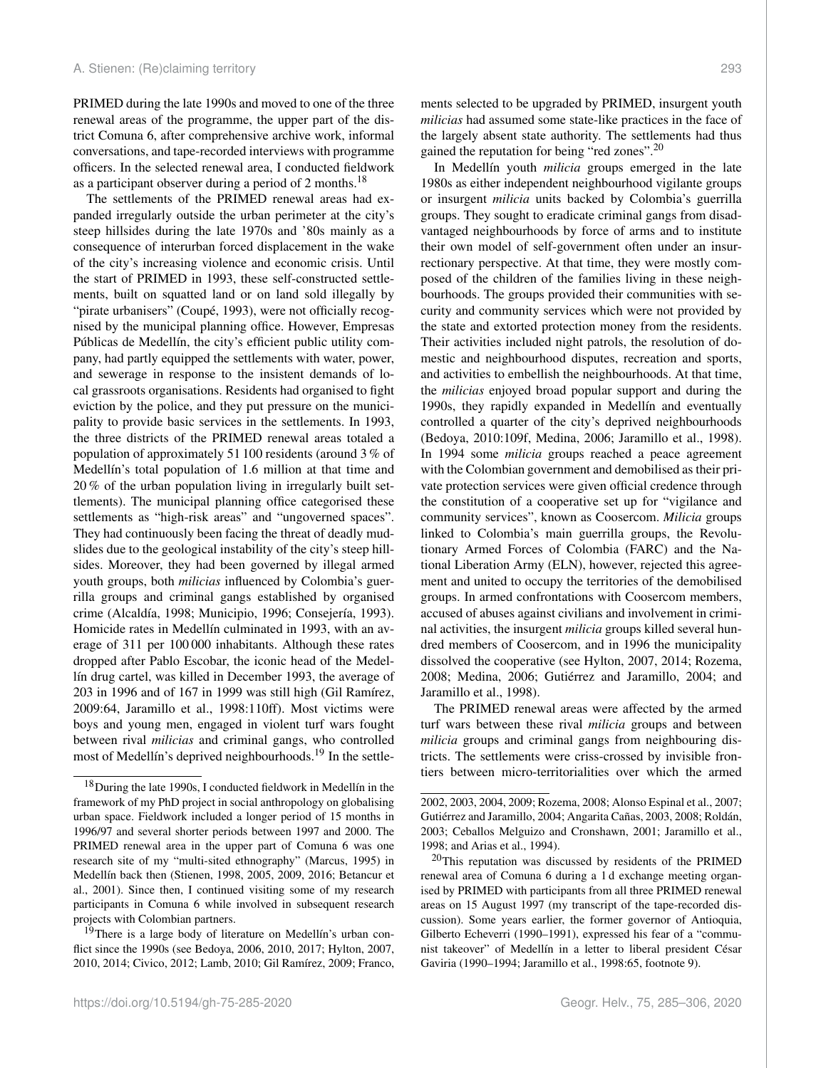PRIMED during the late 1990s and moved to one of the three renewal areas of the programme, the upper part of the district Comuna 6, after comprehensive archive work, informal conversations, and tape-recorded interviews with programme officers. In the selected renewal area, I conducted fieldwork as a participant observer during a period of 2 months.<sup>[18](#page-8-0)</sup>

The settlements of the PRIMED renewal areas had expanded irregularly outside the urban perimeter at the city's steep hillsides during the late 1970s and '80s mainly as a consequence of interurban forced displacement in the wake of the city's increasing violence and economic crisis. Until the start of PRIMED in 1993, these self-constructed settlements, built on squatted land or on land sold illegally by "pirate urbanisers" (Coupé, 1993), were not officially recognised by the municipal planning office. However, Empresas Públicas de Medellín, the city's efficient public utility company, had partly equipped the settlements with water, power, and sewerage in response to the insistent demands of local grassroots organisations. Residents had organised to fight eviction by the police, and they put pressure on the municipality to provide basic services in the settlements. In 1993, the three districts of the PRIMED renewal areas totaled a population of approximately 51 100 residents (around 3 % of Medellín's total population of 1.6 million at that time and 20 % of the urban population living in irregularly built settlements). The municipal planning office categorised these settlements as "high-risk areas" and "ungoverned spaces". They had continuously been facing the threat of deadly mudslides due to the geological instability of the city's steep hillsides. Moreover, they had been governed by illegal armed youth groups, both *milicias* influenced by Colombia's guerrilla groups and criminal gangs established by organised crime (Alcaldía, 1998; Municipio, 1996; Consejería, 1993). Homicide rates in Medellín culminated in 1993, with an average of 311 per 100 000 inhabitants. Although these rates dropped after Pablo Escobar, the iconic head of the Medellín drug cartel, was killed in December 1993, the average of 203 in 1996 and of 167 in 1999 was still high (Gil Ramírez, 2009:64, Jaramillo et al., 1998:110ff). Most victims were boys and young men, engaged in violent turf wars fought between rival *milicias* and criminal gangs, who controlled most of Medellín's deprived neighbourhoods.<sup>[19](#page-8-1)</sup> In the settlements selected to be upgraded by PRIMED, insurgent youth *milicias* had assumed some state-like practices in the face of the largely absent state authority. The settlements had thus gained the reputation for being "red zones".[20](#page-8-2)

In Medellín youth *milicia* groups emerged in the late 1980s as either independent neighbourhood vigilante groups or insurgent *milicia* units backed by Colombia's guerrilla groups. They sought to eradicate criminal gangs from disadvantaged neighbourhoods by force of arms and to institute their own model of self-government often under an insurrectionary perspective. At that time, they were mostly composed of the children of the families living in these neighbourhoods. The groups provided their communities with security and community services which were not provided by the state and extorted protection money from the residents. Their activities included night patrols, the resolution of domestic and neighbourhood disputes, recreation and sports, and activities to embellish the neighbourhoods. At that time, the *milicias* enjoyed broad popular support and during the 1990s, they rapidly expanded in Medellín and eventually controlled a quarter of the city's deprived neighbourhoods (Bedoya, 2010:109f, Medina, 2006; Jaramillo et al., 1998). In 1994 some *milicia* groups reached a peace agreement with the Colombian government and demobilised as their private protection services were given official credence through the constitution of a cooperative set up for "vigilance and community services", known as Coosercom. *Milicia* groups linked to Colombia's main guerrilla groups, the Revolutionary Armed Forces of Colombia (FARC) and the National Liberation Army (ELN), however, rejected this agreement and united to occupy the territories of the demobilised groups. In armed confrontations with Coosercom members, accused of abuses against civilians and involvement in criminal activities, the insurgent *milicia* groups killed several hundred members of Coosercom, and in 1996 the municipality dissolved the cooperative (see Hylton, 2007, 2014; Rozema, 2008; Medina, 2006; Gutiérrez and Jaramillo, 2004; and Jaramillo et al., 1998).

The PRIMED renewal areas were affected by the armed turf wars between these rival *milicia* groups and between *milicia* groups and criminal gangs from neighbouring districts. The settlements were criss-crossed by invisible frontiers between micro-territorialities over which the armed

<span id="page-8-0"></span><sup>&</sup>lt;sup>18</sup>During the late 1990s, I conducted fieldwork in Medellín in the framework of my PhD project in social anthropology on globalising urban space. Fieldwork included a longer period of 15 months in 1996/97 and several shorter periods between 1997 and 2000. The PRIMED renewal area in the upper part of Comuna 6 was one research site of my "multi-sited ethnography" (Marcus, 1995) in Medellín back then (Stienen, 1998, 2005, 2009, 2016; Betancur et al., 2001). Since then, I continued visiting some of my research participants in Comuna 6 while involved in subsequent research projects with Colombian partners.

<span id="page-8-1"></span><sup>&</sup>lt;sup>19</sup>There is a large body of literature on Medellín's urban conflict since the 1990s (see Bedoya, 2006, 2010, 2017; Hylton, 2007, 2010, 2014; Civico, 2012; Lamb, 2010; Gil Ramírez, 2009; Franco,

<sup>2002, 2003, 2004, 2009;</sup> Rozema, 2008; Alonso Espinal et al., 2007; Gutiérrez and Jaramillo, 2004; Angarita Cañas, 2003, 2008; Roldán, 2003; Ceballos Melguizo and Cronshawn, 2001; Jaramillo et al., 1998; and Arias et al., 1994).

<span id="page-8-2"></span><sup>20</sup>This reputation was discussed by residents of the PRIMED renewal area of Comuna 6 during a 1 d exchange meeting organised by PRIMED with participants from all three PRIMED renewal areas on 15 August 1997 (my transcript of the tape-recorded discussion). Some years earlier, the former governor of Antioquia, Gilberto Echeverri (1990–1991), expressed his fear of a "communist takeover" of Medellín in a letter to liberal president César Gaviria (1990–1994; Jaramillo et al., 1998:65, footnote 9).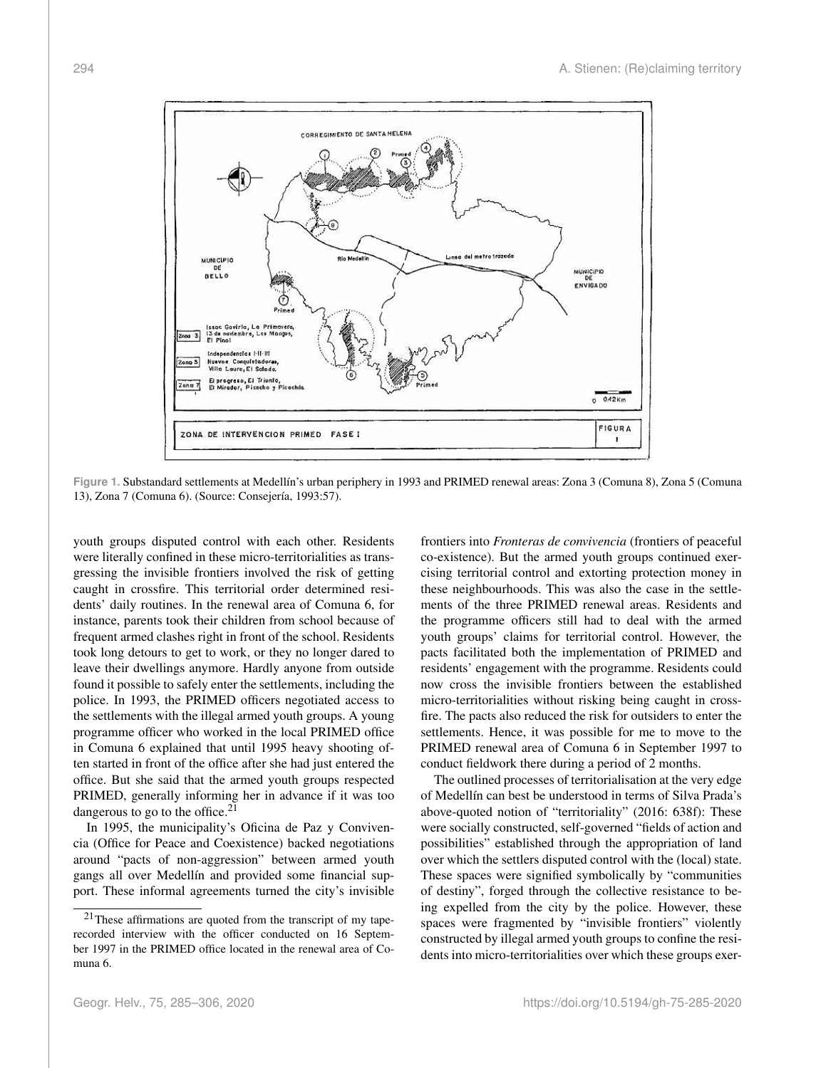

**Figure 1.** Substandard settlements at Medellín's urban periphery in 1993 and PRIMED renewal areas: Zona 3 (Comuna 8), Zona 5 (Comuna 13), Zona 7 (Comuna 6). (Source: Consejería, 1993:57).

youth groups disputed control with each other. Residents were literally confined in these micro-territorialities as transgressing the invisible frontiers involved the risk of getting caught in crossfire. This territorial order determined residents' daily routines. In the renewal area of Comuna 6, for instance, parents took their children from school because of frequent armed clashes right in front of the school. Residents took long detours to get to work, or they no longer dared to leave their dwellings anymore. Hardly anyone from outside found it possible to safely enter the settlements, including the police. In 1993, the PRIMED officers negotiated access to the settlements with the illegal armed youth groups. A young programme officer who worked in the local PRIMED office in Comuna 6 explained that until 1995 heavy shooting often started in front of the office after she had just entered the office. But she said that the armed youth groups respected PRIMED, generally informing her in advance if it was too dangerous to go to the office.<sup>[21](#page-9-0)</sup>

In 1995, the municipality's Oficina de Paz y Convivencia (Office for Peace and Coexistence) backed negotiations around "pacts of non-aggression" between armed youth gangs all over Medellín and provided some financial support. These informal agreements turned the city's invisible

frontiers into *Fronteras de convivencia* (frontiers of peaceful co-existence). But the armed youth groups continued exercising territorial control and extorting protection money in these neighbourhoods. This was also the case in the settlements of the three PRIMED renewal areas. Residents and the programme officers still had to deal with the armed youth groups' claims for territorial control. However, the pacts facilitated both the implementation of PRIMED and residents' engagement with the programme. Residents could now cross the invisible frontiers between the established micro-territorialities without risking being caught in crossfire. The pacts also reduced the risk for outsiders to enter the settlements. Hence, it was possible for me to move to the PRIMED renewal area of Comuna 6 in September 1997 to conduct fieldwork there during a period of 2 months.

The outlined processes of territorialisation at the very edge of Medellín can best be understood in terms of Silva Prada's above-quoted notion of "territoriality" (2016: 638f): These were socially constructed, self-governed "fields of action and possibilities" established through the appropriation of land over which the settlers disputed control with the (local) state. These spaces were signified symbolically by "communities of destiny", forged through the collective resistance to being expelled from the city by the police. However, these spaces were fragmented by "invisible frontiers" violently constructed by illegal armed youth groups to confine the residents into micro-territorialities over which these groups exer-

<span id="page-9-0"></span><sup>21</sup>These affirmations are quoted from the transcript of my taperecorded interview with the officer conducted on 16 September 1997 in the PRIMED office located in the renewal area of Comuna 6.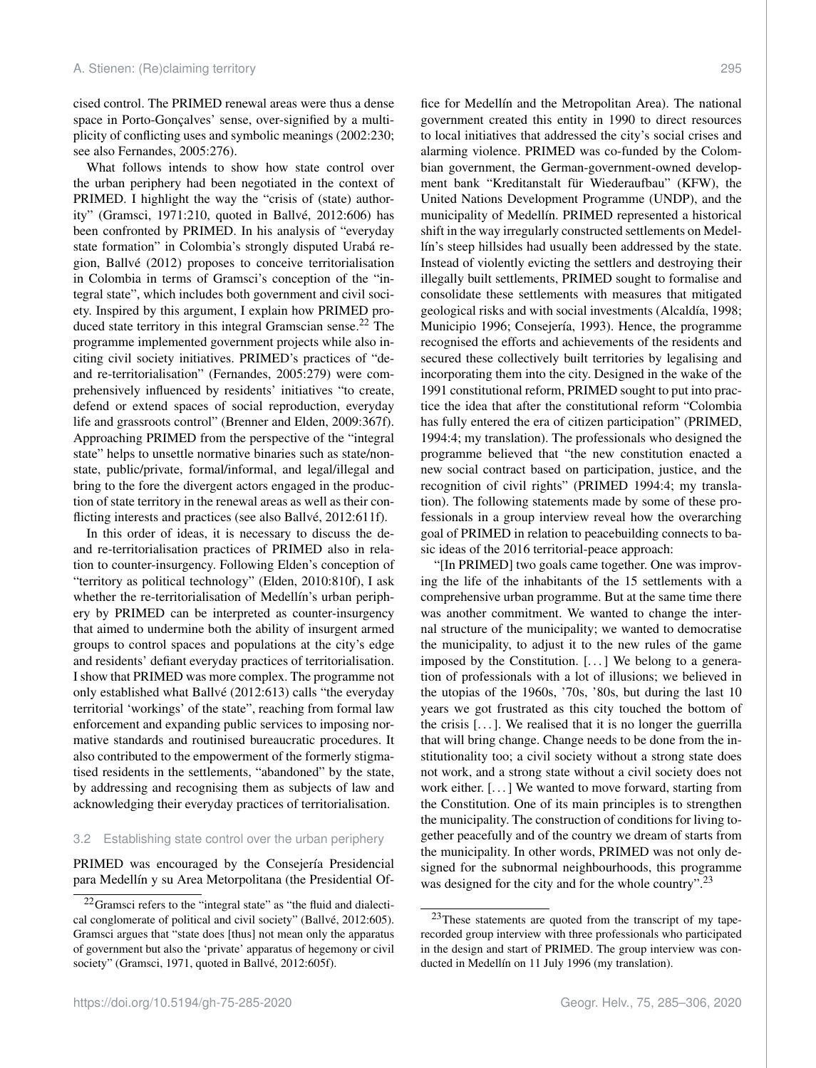cised control. The PRIMED renewal areas were thus a dense space in Porto-Gonçalves' sense, over-signified by a multiplicity of conflicting uses and symbolic meanings (2002:230; see also Fernandes, 2005:276).

What follows intends to show how state control over the urban periphery had been negotiated in the context of PRIMED. I highlight the way the "crisis of (state) authority" (Gramsci, 1971:210, quoted in Ballvé, 2012:606) has been confronted by PRIMED. In his analysis of "everyday state formation" in Colombia's strongly disputed Urabá region, Ballvé (2012) proposes to conceive territorialisation in Colombia in terms of Gramsci's conception of the "integral state", which includes both government and civil society. Inspired by this argument, I explain how PRIMED pro-duced state territory in this integral Gramscian sense.<sup>[22](#page-10-0)</sup> The programme implemented government projects while also inciting civil society initiatives. PRIMED's practices of "deand re-territorialisation" (Fernandes, 2005:279) were comprehensively influenced by residents' initiatives "to create, defend or extend spaces of social reproduction, everyday life and grassroots control" (Brenner and Elden, 2009:367f). Approaching PRIMED from the perspective of the "integral state" helps to unsettle normative binaries such as state/nonstate, public/private, formal/informal, and legal/illegal and bring to the fore the divergent actors engaged in the production of state territory in the renewal areas as well as their conflicting interests and practices (see also Ballvé, 2012:611f).

In this order of ideas, it is necessary to discuss the deand re-territorialisation practices of PRIMED also in relation to counter-insurgency. Following Elden's conception of "territory as political technology" (Elden, 2010:810f), I ask whether the re-territorialisation of Medellín's urban periphery by PRIMED can be interpreted as counter-insurgency that aimed to undermine both the ability of insurgent armed groups to control spaces and populations at the city's edge and residents' defiant everyday practices of territorialisation. I show that PRIMED was more complex. The programme not only established what Ballvé (2012:613) calls "the everyday territorial 'workings' of the state", reaching from formal law enforcement and expanding public services to imposing normative standards and routinised bureaucratic procedures. It also contributed to the empowerment of the formerly stigmatised residents in the settlements, "abandoned" by the state, by addressing and recognising them as subjects of law and acknowledging their everyday practices of territorialisation.

# 3.2 Establishing state control over the urban periphery

PRIMED was encouraged by the Consejería Presidencial para Medellín y su Area Metorpolitana (the Presidential Of-

fice for Medellín and the Metropolitan Area). The national government created this entity in 1990 to direct resources to local initiatives that addressed the city's social crises and alarming violence. PRIMED was co-funded by the Colombian government, the German-government-owned development bank "Kreditanstalt für Wiederaufbau" (KFW), the United Nations Development Programme (UNDP), and the municipality of Medellín. PRIMED represented a historical shift in the way irregularly constructed settlements on Medellín's steep hillsides had usually been addressed by the state. Instead of violently evicting the settlers and destroying their illegally built settlements, PRIMED sought to formalise and consolidate these settlements with measures that mitigated geological risks and with social investments (Alcaldía, 1998; Municipio 1996; Consejería, 1993). Hence, the programme recognised the efforts and achievements of the residents and secured these collectively built territories by legalising and incorporating them into the city. Designed in the wake of the 1991 constitutional reform, PRIMED sought to put into practice the idea that after the constitutional reform "Colombia has fully entered the era of citizen participation" (PRIMED, 1994:4; my translation). The professionals who designed the programme believed that "the new constitution enacted a

new social contract based on participation, justice, and the recognition of civil rights" (PRIMED 1994:4; my translation). The following statements made by some of these professionals in a group interview reveal how the overarching goal of PRIMED in relation to peacebuilding connects to basic ideas of the 2016 territorial-peace approach:

"[In PRIMED] two goals came together. One was improving the life of the inhabitants of the 15 settlements with a comprehensive urban programme. But at the same time there was another commitment. We wanted to change the internal structure of the municipality; we wanted to democratise the municipality, to adjust it to the new rules of the game imposed by the Constitution. [. . . ] We belong to a generation of professionals with a lot of illusions; we believed in the utopias of the 1960s, '70s, '80s, but during the last 10 years we got frustrated as this city touched the bottom of the crisis  $[\dots]$ . We realised that it is no longer the guerrilla that will bring change. Change needs to be done from the institutionality too; a civil society without a strong state does not work, and a strong state without a civil society does not work either. [. . . ] We wanted to move forward, starting from the Constitution. One of its main principles is to strengthen the municipality. The construction of conditions for living together peacefully and of the country we dream of starts from the municipality. In other words, PRIMED was not only designed for the subnormal neighbourhoods, this programme was designed for the city and for the whole country".<sup>[23](#page-10-1)</sup>

<span id="page-10-0"></span> $22$ Gramsci refers to the "integral state" as "the fluid and dialectical conglomerate of political and civil society" (Ballvé, 2012:605). Gramsci argues that "state does [thus] not mean only the apparatus of government but also the 'private' apparatus of hegemony or civil society" (Gramsci, 1971, quoted in Ballvé, 2012:605f).

<span id="page-10-1"></span><sup>&</sup>lt;sup>23</sup>These statements are quoted from the transcript of my taperecorded group interview with three professionals who participated in the design and start of PRIMED. The group interview was conducted in Medellín on 11 July 1996 (my translation).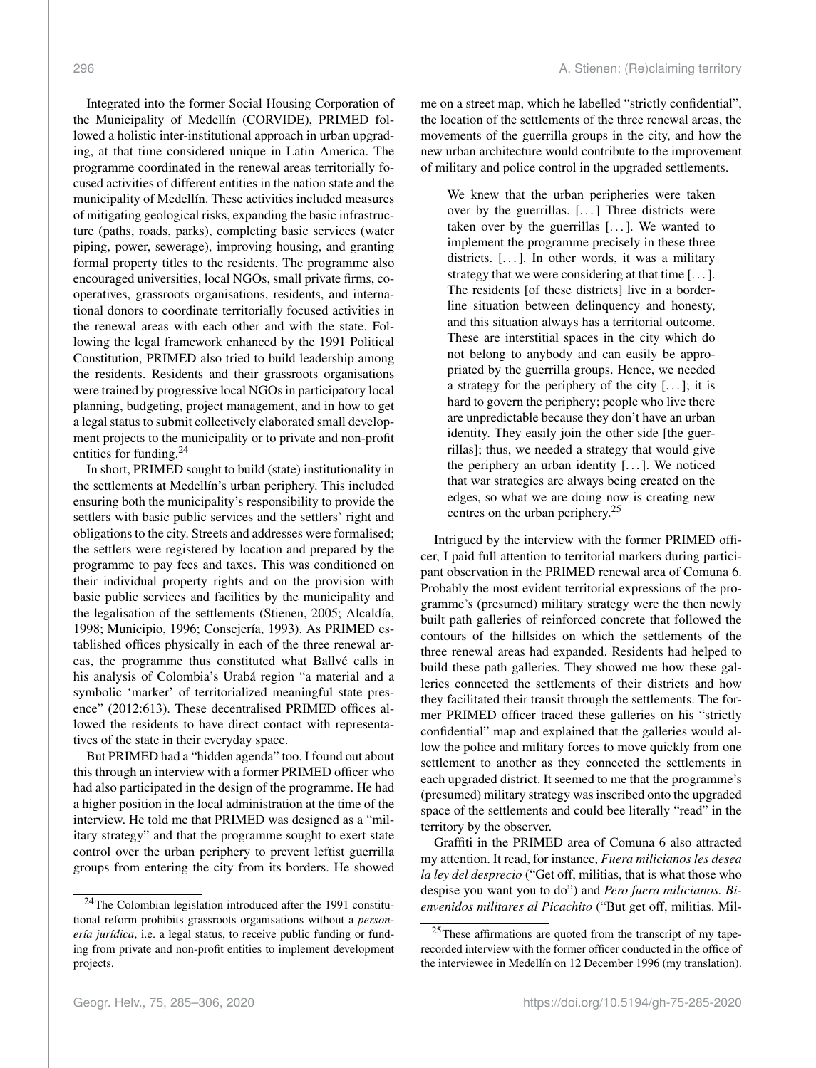Integrated into the former Social Housing Corporation of the Municipality of Medellín (CORVIDE), PRIMED followed a holistic inter-institutional approach in urban upgrading, at that time considered unique in Latin America. The programme coordinated in the renewal areas territorially focused activities of different entities in the nation state and the municipality of Medellín. These activities included measures of mitigating geological risks, expanding the basic infrastructure (paths, roads, parks), completing basic services (water piping, power, sewerage), improving housing, and granting formal property titles to the residents. The programme also encouraged universities, local NGOs, small private firms, cooperatives, grassroots organisations, residents, and international donors to coordinate territorially focused activities in the renewal areas with each other and with the state. Following the legal framework enhanced by the 1991 Political Constitution, PRIMED also tried to build leadership among the residents. Residents and their grassroots organisations were trained by progressive local NGOs in participatory local planning, budgeting, project management, and in how to get a legal status to submit collectively elaborated small development projects to the municipality or to private and non-profit entities for funding.<sup>[24](#page-11-0)</sup>

In short, PRIMED sought to build (state) institutionality in the settlements at Medellín's urban periphery. This included ensuring both the municipality's responsibility to provide the settlers with basic public services and the settlers' right and obligations to the city. Streets and addresses were formalised; the settlers were registered by location and prepared by the programme to pay fees and taxes. This was conditioned on their individual property rights and on the provision with basic public services and facilities by the municipality and the legalisation of the settlements (Stienen, 2005; Alcaldía, 1998; Municipio, 1996; Consejería, 1993). As PRIMED established offices physically in each of the three renewal areas, the programme thus constituted what Ballvé calls in his analysis of Colombia's Urabá region "a material and a symbolic 'marker' of territorialized meaningful state presence" (2012:613). These decentralised PRIMED offices allowed the residents to have direct contact with representatives of the state in their everyday space.

But PRIMED had a "hidden agenda" too. I found out about this through an interview with a former PRIMED officer who had also participated in the design of the programme. He had a higher position in the local administration at the time of the interview. He told me that PRIMED was designed as a "military strategy" and that the programme sought to exert state control over the urban periphery to prevent leftist guerrilla groups from entering the city from its borders. He showed me on a street map, which he labelled "strictly confidential", the location of the settlements of the three renewal areas, the movements of the guerrilla groups in the city, and how the new urban architecture would contribute to the improvement of military and police control in the upgraded settlements.

We knew that the urban peripheries were taken over by the guerrillas. [. . . ] Three districts were taken over by the guerrillas  $[\dots]$ . We wanted to implement the programme precisely in these three districts.  $[\dots]$ . In other words, it was a military strategy that we were considering at that time [...]. The residents [of these districts] live in a borderline situation between delinquency and honesty, and this situation always has a territorial outcome. These are interstitial spaces in the city which do not belong to anybody and can easily be appropriated by the guerrilla groups. Hence, we needed a strategy for the periphery of the city  $[\dots]$ ; it is hard to govern the periphery; people who live there are unpredictable because they don't have an urban identity. They easily join the other side [the guerrillas]; thus, we needed a strategy that would give the periphery an urban identity  $[...]$ . We noticed that war strategies are always being created on the edges, so what we are doing now is creating new centres on the urban periphery.[25](#page-11-1)

Intrigued by the interview with the former PRIMED officer, I paid full attention to territorial markers during participant observation in the PRIMED renewal area of Comuna 6. Probably the most evident territorial expressions of the programme's (presumed) military strategy were the then newly built path galleries of reinforced concrete that followed the contours of the hillsides on which the settlements of the three renewal areas had expanded. Residents had helped to build these path galleries. They showed me how these galleries connected the settlements of their districts and how they facilitated their transit through the settlements. The former PRIMED officer traced these galleries on his "strictly confidential" map and explained that the galleries would allow the police and military forces to move quickly from one settlement to another as they connected the settlements in each upgraded district. It seemed to me that the programme's (presumed) military strategy was inscribed onto the upgraded space of the settlements and could bee literally "read" in the territory by the observer.

Graffiti in the PRIMED area of Comuna 6 also attracted my attention. It read, for instance, *Fuera milicianos les desea la ley del desprecio* ("Get off, militias, that is what those who despise you want you to do") and *Pero fuera milicianos. Bienvenidos militares al Picachito* ("But get off, militias. Mil-

<span id="page-11-0"></span><sup>&</sup>lt;sup>24</sup>The Colombian legislation introduced after the 1991 constitutional reform prohibits grassroots organisations without a *personería jurídica*, i.e. a legal status, to receive public funding or funding from private and non-profit entities to implement development projects.

<span id="page-11-1"></span><sup>25</sup>These affirmations are quoted from the transcript of my taperecorded interview with the former officer conducted in the office of the interviewee in Medellín on 12 December 1996 (my translation).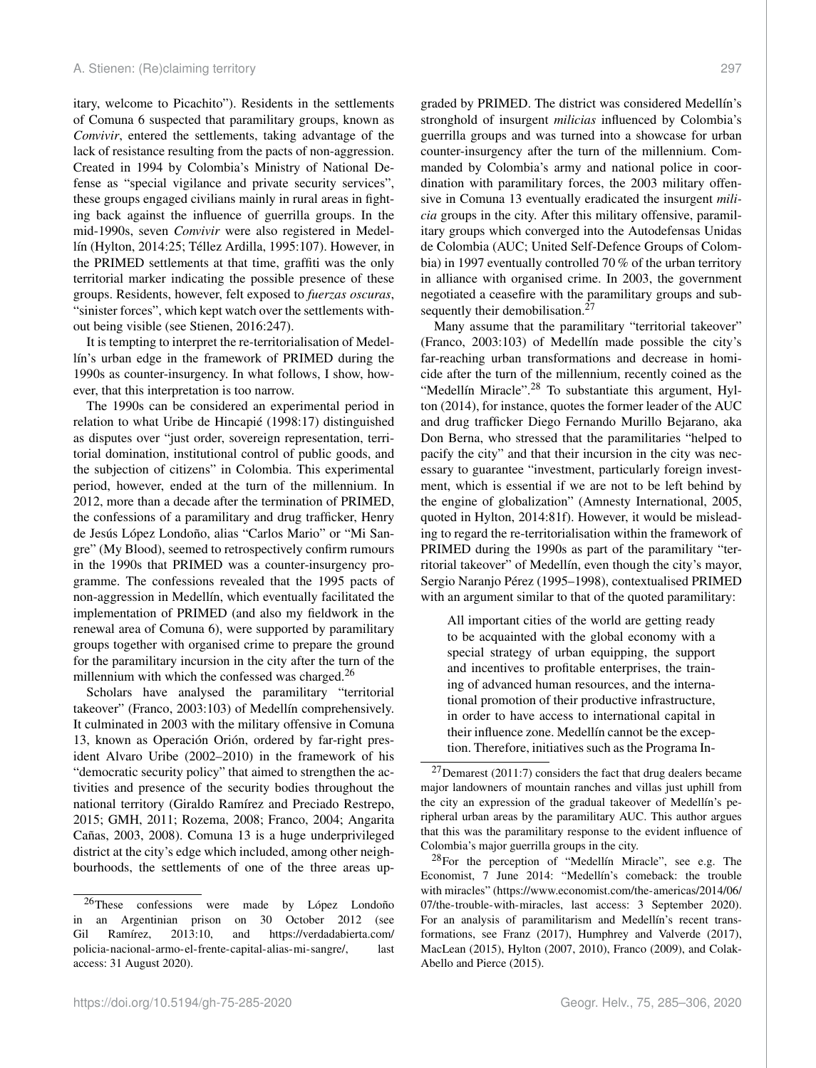itary, welcome to Picachito"). Residents in the settlements of Comuna 6 suspected that paramilitary groups, known as *Convivir*, entered the settlements, taking advantage of the lack of resistance resulting from the pacts of non-aggression. Created in 1994 by Colombia's Ministry of National Defense as "special vigilance and private security services", these groups engaged civilians mainly in rural areas in fighting back against the influence of guerrilla groups. In the mid-1990s, seven *Convivir* were also registered in Medellín (Hylton, 2014:25; Téllez Ardilla, 1995:107). However, in the PRIMED settlements at that time, graffiti was the only territorial marker indicating the possible presence of these groups. Residents, however, felt exposed to *fuerzas oscuras*, "sinister forces", which kept watch over the settlements without being visible (see Stienen, 2016:247).

It is tempting to interpret the re-territorialisation of Medellín's urban edge in the framework of PRIMED during the 1990s as counter-insurgency. In what follows, I show, however, that this interpretation is too narrow.

The 1990s can be considered an experimental period in relation to what Uribe de Hincapié (1998:17) distinguished as disputes over "just order, sovereign representation, territorial domination, institutional control of public goods, and the subjection of citizens" in Colombia. This experimental period, however, ended at the turn of the millennium. In 2012, more than a decade after the termination of PRIMED, the confessions of a paramilitary and drug trafficker, Henry de Jesús López Londoño, alias "Carlos Mario" or "Mi Sangre" (My Blood), seemed to retrospectively confirm rumours in the 1990s that PRIMED was a counter-insurgency programme. The confessions revealed that the 1995 pacts of non-aggression in Medellín, which eventually facilitated the implementation of PRIMED (and also my fieldwork in the renewal area of Comuna 6), were supported by paramilitary groups together with organised crime to prepare the ground for the paramilitary incursion in the city after the turn of the millennium with which the confessed was charged. $^{26}$  $^{26}$  $^{26}$ 

Scholars have analysed the paramilitary "territorial takeover" (Franco, 2003:103) of Medellín comprehensively. It culminated in 2003 with the military offensive in Comuna 13, known as Operación Orión, ordered by far-right president Alvaro Uribe (2002–2010) in the framework of his "democratic security policy" that aimed to strengthen the activities and presence of the security bodies throughout the national territory (Giraldo Ramírez and Preciado Restrepo, 2015; GMH, 2011; Rozema, 2008; Franco, 2004; Angarita Cañas, 2003, 2008). Comuna 13 is a huge underprivileged district at the city's edge which included, among other neighbourhoods, the settlements of one of the three areas up-

graded by PRIMED. The district was considered Medellín's stronghold of insurgent *milicias* influenced by Colombia's guerrilla groups and was turned into a showcase for urban counter-insurgency after the turn of the millennium. Commanded by Colombia's army and national police in coordination with paramilitary forces, the 2003 military offensive in Comuna 13 eventually eradicated the insurgent *milicia* groups in the city. After this military offensive, paramilitary groups which converged into the Autodefensas Unidas de Colombia (AUC; United Self-Defence Groups of Colombia) in 1997 eventually controlled 70 % of the urban territory in alliance with organised crime. In 2003, the government negotiated a ceasefire with the paramilitary groups and sub-sequently their demobilisation.<sup>[27](#page-12-1)</sup>

Many assume that the paramilitary "territorial takeover" (Franco, 2003:103) of Medellín made possible the city's far-reaching urban transformations and decrease in homicide after the turn of the millennium, recently coined as the "Medellín Miracle".<sup>[28](#page-12-2)</sup> To substantiate this argument, Hylton (2014), for instance, quotes the former leader of the AUC and drug trafficker Diego Fernando Murillo Bejarano, aka Don Berna, who stressed that the paramilitaries "helped to pacify the city" and that their incursion in the city was necessary to guarantee "investment, particularly foreign investment, which is essential if we are not to be left behind by the engine of globalization" (Amnesty International, 2005, quoted in Hylton, 2014:81f). However, it would be misleading to regard the re-territorialisation within the framework of PRIMED during the 1990s as part of the paramilitary "territorial takeover" of Medellín, even though the city's mayor, Sergio Naranjo Pérez (1995–1998), contextualised PRIMED with an argument similar to that of the quoted paramilitary:

All important cities of the world are getting ready to be acquainted with the global economy with a special strategy of urban equipping, the support and incentives to profitable enterprises, the training of advanced human resources, and the international promotion of their productive infrastructure, in order to have access to international capital in their influence zone. Medellín cannot be the exception. Therefore, initiatives such as the Programa In-

<span id="page-12-0"></span><sup>26</sup>These confessions were made by López Londoño in an Argentinian prison on 30 October 2012 (see Gil Ramírez, 2013:10, and [https://verdadabierta.com/](https://verdadabierta.com/policia-nacional-armo-el-frente-capital-alias-mi-sangre/) [policia-nacional-armo-el-frente-capital-alias-mi-sangre/,](https://verdadabierta.com/policia-nacional-armo-el-frente-capital-alias-mi-sangre/) last access: 31 August 2020).

<span id="page-12-1"></span><sup>27</sup>Demarest (2011:7) considers the fact that drug dealers became major landowners of mountain ranches and villas just uphill from the city an expression of the gradual takeover of Medellín's peripheral urban areas by the paramilitary AUC. This author argues that this was the paramilitary response to the evident influence of Colombia's major guerrilla groups in the city.

<span id="page-12-2"></span> $28$ For the perception of "Medellín Miracle", see e.g. The Economist, 7 June 2014: "Medellín's comeback: the trouble with miracles" [\(https://www.economist.com/the-americas/2014/06/](https://www.economist.com/the-americas/2014/06/07/the-trouble-with-miracles) [07/the-trouble-with-miracles,](https://www.economist.com/the-americas/2014/06/07/the-trouble-with-miracles) last access: 3 September 2020). For an analysis of paramilitarism and Medellín's recent transformations, see Franz (2017), Humphrey and Valverde (2017), MacLean (2015), Hylton (2007, 2010), Franco (2009), and Colak-Abello and Pierce (2015).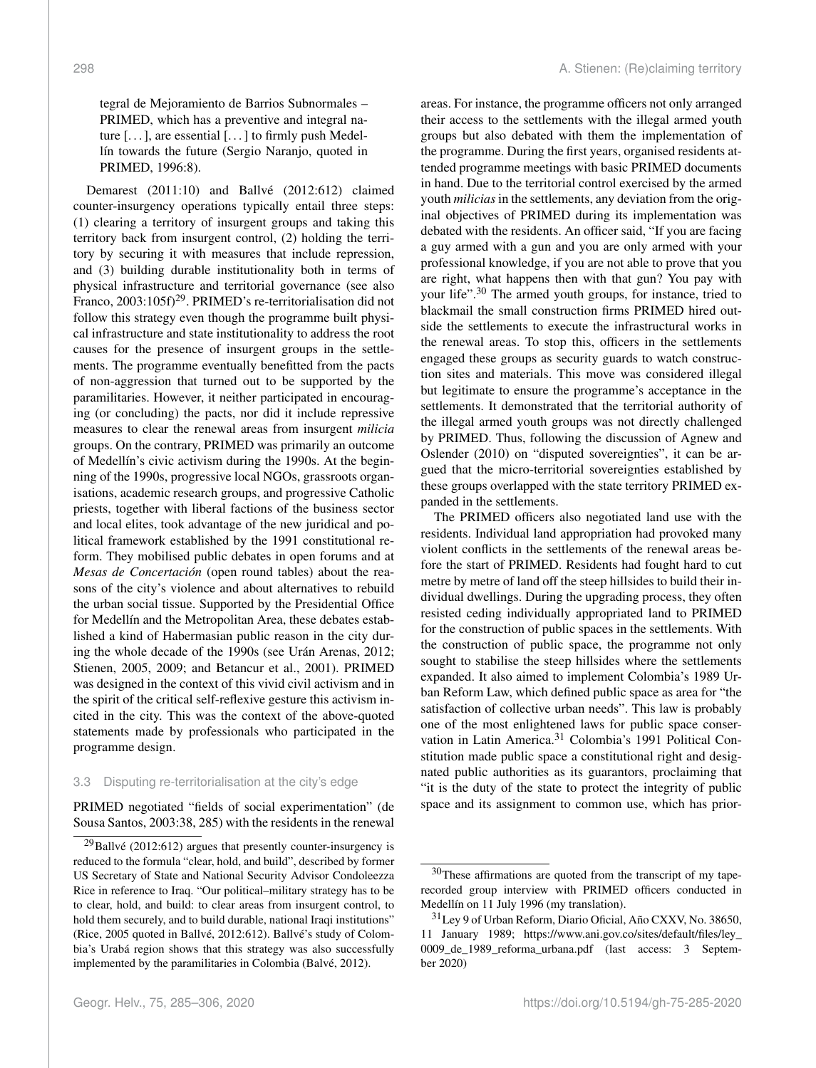tegral de Mejoramiento de Barrios Subnormales – PRIMED, which has a preventive and integral nature  $[\dots]$ , are essential  $[\dots]$  to firmly push Medellín towards the future (Sergio Naranjo, quoted in PRIMED, 1996:8).

Demarest (2011:10) and Ballvé (2012:612) claimed counter-insurgency operations typically entail three steps: (1) clearing a territory of insurgent groups and taking this territory back from insurgent control, (2) holding the territory by securing it with measures that include repression, and (3) building durable institutionality both in terms of physical infrastructure and territorial governance (see also Franco, 2003:105f)<sup>[29](#page-13-0)</sup>. PRIMED's re-territorialisation did not follow this strategy even though the programme built physical infrastructure and state institutionality to address the root causes for the presence of insurgent groups in the settlements. The programme eventually benefitted from the pacts of non-aggression that turned out to be supported by the paramilitaries. However, it neither participated in encouraging (or concluding) the pacts, nor did it include repressive measures to clear the renewal areas from insurgent *milicia* groups. On the contrary, PRIMED was primarily an outcome of Medellín's civic activism during the 1990s. At the beginning of the 1990s, progressive local NGOs, grassroots organisations, academic research groups, and progressive Catholic priests, together with liberal factions of the business sector and local elites, took advantage of the new juridical and political framework established by the 1991 constitutional reform. They mobilised public debates in open forums and at *Mesas de Concertación* (open round tables) about the reasons of the city's violence and about alternatives to rebuild the urban social tissue. Supported by the Presidential Office for Medellín and the Metropolitan Area, these debates established a kind of Habermasian public reason in the city during the whole decade of the 1990s (see Urán Arenas, 2012; Stienen, 2005, 2009; and Betancur et al., 2001). PRIMED was designed in the context of this vivid civil activism and in the spirit of the critical self-reflexive gesture this activism incited in the city. This was the context of the above-quoted statements made by professionals who participated in the programme design.

#### 3.3 Disputing re-territorialisation at the city's edge

PRIMED negotiated "fields of social experimentation" (de Sousa Santos, 2003:38, 285) with the residents in the renewal

areas. For instance, the programme officers not only arranged their access to the settlements with the illegal armed youth groups but also debated with them the implementation of the programme. During the first years, organised residents attended programme meetings with basic PRIMED documents in hand. Due to the territorial control exercised by the armed youth *milicias* in the settlements, any deviation from the original objectives of PRIMED during its implementation was debated with the residents. An officer said, "If you are facing a guy armed with a gun and you are only armed with your professional knowledge, if you are not able to prove that you are right, what happens then with that gun? You pay with your life".<sup>[30](#page-13-1)</sup> The armed youth groups, for instance, tried to blackmail the small construction firms PRIMED hired outside the settlements to execute the infrastructural works in the renewal areas. To stop this, officers in the settlements engaged these groups as security guards to watch construction sites and materials. This move was considered illegal but legitimate to ensure the programme's acceptance in the settlements. It demonstrated that the territorial authority of the illegal armed youth groups was not directly challenged by PRIMED. Thus, following the discussion of Agnew and Oslender (2010) on "disputed sovereignties", it can be argued that the micro-territorial sovereignties established by these groups overlapped with the state territory PRIMED expanded in the settlements.

The PRIMED officers also negotiated land use with the residents. Individual land appropriation had provoked many violent conflicts in the settlements of the renewal areas before the start of PRIMED. Residents had fought hard to cut metre by metre of land off the steep hillsides to build their individual dwellings. During the upgrading process, they often resisted ceding individually appropriated land to PRIMED for the construction of public spaces in the settlements. With the construction of public space, the programme not only sought to stabilise the steep hillsides where the settlements expanded. It also aimed to implement Colombia's 1989 Urban Reform Law, which defined public space as area for "the satisfaction of collective urban needs". This law is probably one of the most enlightened laws for public space conser-vation in Latin America.<sup>[31](#page-13-2)</sup> Colombia's 1991 Political Constitution made public space a constitutional right and designated public authorities as its guarantors, proclaiming that "it is the duty of the state to protect the integrity of public space and its assignment to common use, which has prior-

<span id="page-13-0"></span> $^{29}$ Ballvé (2012:612) argues that presently counter-insurgency is reduced to the formula "clear, hold, and build", described by former US Secretary of State and National Security Advisor Condoleezza Rice in reference to Iraq. "Our political–military strategy has to be to clear, hold, and build: to clear areas from insurgent control, to hold them securely, and to build durable, national Iraqi institutions" (Rice, 2005 quoted in Ballvé, 2012:612). Ballvé's study of Colombia's Urabá region shows that this strategy was also successfully implemented by the paramilitaries in Colombia (Balvé, 2012).

<span id="page-13-1"></span><sup>&</sup>lt;sup>30</sup>These affirmations are quoted from the transcript of my taperecorded group interview with PRIMED officers conducted in Medellín on 11 July 1996 (my translation).

<span id="page-13-2"></span><sup>31</sup>Ley 9 of Urban Reform, Diario Oficial, Año CXXV, No. 38650, 11 January 1989; [https://www.ani.gov.co/sites/default/files/ley\\_](https://www.ani.gov.co/sites/default/files/ley_0009_de_1989_reforma_urbana.pdf) [0009\\_de\\_1989\\_reforma\\_urbana.pdf](https://www.ani.gov.co/sites/default/files/ley_0009_de_1989_reforma_urbana.pdf) (last access: 3 September 2020)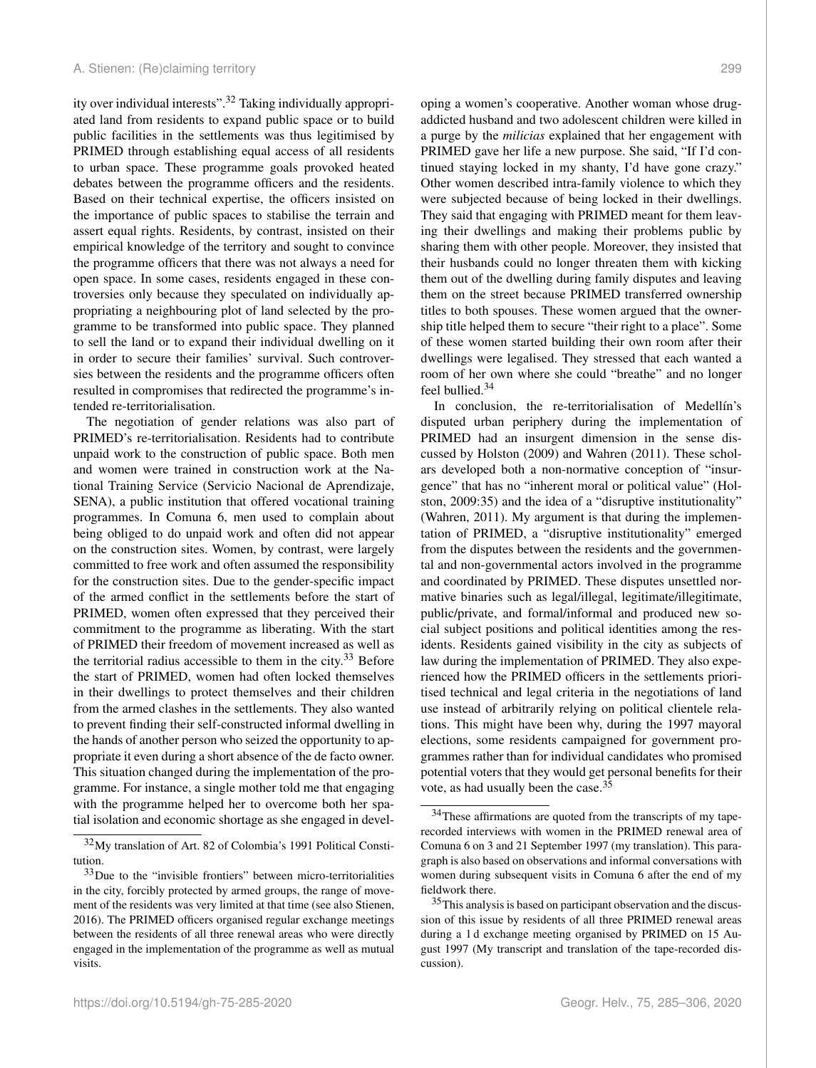ity over individual interests".[32](#page-14-0) Taking individually appropriated land from residents to expand public space or to build public facilities in the settlements was thus legitimised by PRIMED through establishing equal access of all residents to urban space. These programme goals provoked heated debates between the programme officers and the residents. Based on their technical expertise, the officers insisted on the importance of public spaces to stabilise the terrain and assert equal rights. Residents, by contrast, insisted on their empirical knowledge of the territory and sought to convince the programme officers that there was not always a need for open space. In some cases, residents engaged in these controversies only because they speculated on individually appropriating a neighbouring plot of land selected by the programme to be transformed into public space. They planned to sell the land or to expand their individual dwelling on it in order to secure their families' survival. Such controversies between the residents and the programme officers often resulted in compromises that redirected the programme's intended re-territorialisation.

The negotiation of gender relations was also part of PRIMED's re-territorialisation. Residents had to contribute unpaid work to the construction of public space. Both men and women were trained in construction work at the National Training Service (Servicio Nacional de Aprendizaje, SENA), a public institution that offered vocational training programmes. In Comuna 6, men used to complain about being obliged to do unpaid work and often did not appear on the construction sites. Women, by contrast, were largely committed to free work and often assumed the responsibility for the construction sites. Due to the gender-specific impact of the armed conflict in the settlements before the start of PRIMED, women often expressed that they perceived their commitment to the programme as liberating. With the start of PRIMED their freedom of movement increased as well as the territorial radius accessible to them in the city.<sup>[33](#page-14-1)</sup> Before the start of PRIMED, women had often locked themselves in their dwellings to protect themselves and their children from the armed clashes in the settlements. They also wanted to prevent finding their self-constructed informal dwelling in the hands of another person who seized the opportunity to appropriate it even during a short absence of the de facto owner. This situation changed during the implementation of the programme. For instance, a single mother told me that engaging with the programme helped her to overcome both her spatial isolation and economic shortage as she engaged in developing a women's cooperative. Another woman whose drugaddicted husband and two adolescent children were killed in a purge by the *milicias* explained that her engagement with PRIMED gave her life a new purpose. She said, "If I'd continued staying locked in my shanty, I'd have gone crazy." Other women described intra-family violence to which they were subjected because of being locked in their dwellings. They said that engaging with PRIMED meant for them leaving their dwellings and making their problems public by sharing them with other people. Moreover, they insisted that their husbands could no longer threaten them with kicking them out of the dwelling during family disputes and leaving them on the street because PRIMED transferred ownership titles to both spouses. These women argued that the ownership title helped them to secure "their right to a place". Some of these women started building their own room after their dwellings were legalised. They stressed that each wanted a room of her own where she could "breathe" and no longer feel bullied.[34](#page-14-2)

In conclusion, the re-territorialisation of Medellín's disputed urban periphery during the implementation of PRIMED had an insurgent dimension in the sense discussed by Holston (2009) and Wahren (2011). These scholars developed both a non-normative conception of "insurgence" that has no "inherent moral or political value" (Holston, 2009:35) and the idea of a "disruptive institutionality" (Wahren, 2011). My argument is that during the implementation of PRIMED, a "disruptive institutionality" emerged from the disputes between the residents and the governmental and non-governmental actors involved in the programme and coordinated by PRIMED. These disputes unsettled normative binaries such as legal/illegal, legitimate/illegitimate, public/private, and formal/informal and produced new social subject positions and political identities among the residents. Residents gained visibility in the city as subjects of law during the implementation of PRIMED. They also experienced how the PRIMED officers in the settlements prioritised technical and legal criteria in the negotiations of land use instead of arbitrarily relying on political clientele relations. This might have been why, during the 1997 mayoral elections, some residents campaigned for government programmes rather than for individual candidates who promised potential voters that they would get personal benefits for their vote, as had usually been the case.[35](#page-14-3)

<span id="page-14-0"></span><sup>32</sup>My translation of Art. 82 of Colombia's 1991 Political Constitution.

<span id="page-14-1"></span><sup>33</sup>Due to the "invisible frontiers" between micro-territorialities in the city, forcibly protected by armed groups, the range of movement of the residents was very limited at that time (see also Stienen, 2016). The PRIMED officers organised regular exchange meetings between the residents of all three renewal areas who were directly engaged in the implementation of the programme as well as mutual visits.

<span id="page-14-2"></span><sup>34</sup>These affirmations are quoted from the transcripts of my taperecorded interviews with women in the PRIMED renewal area of Comuna 6 on 3 and 21 September 1997 (my translation). This paragraph is also based on observations and informal conversations with women during subsequent visits in Comuna 6 after the end of my fieldwork there.

<span id="page-14-3"></span><sup>&</sup>lt;sup>35</sup>This analysis is based on participant observation and the discussion of this issue by residents of all three PRIMED renewal areas during a 1 d exchange meeting organised by PRIMED on 15 August 1997 (My transcript and translation of the tape-recorded discussion).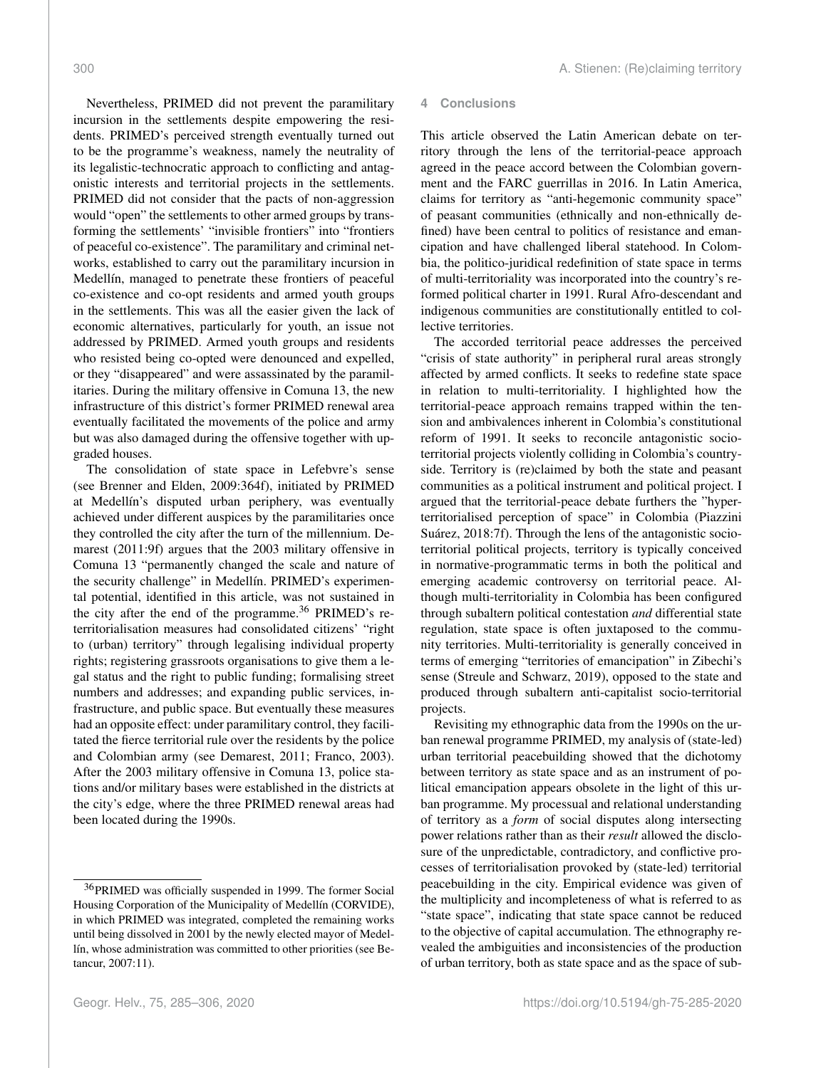Nevertheless, PRIMED did not prevent the paramilitary incursion in the settlements despite empowering the residents. PRIMED's perceived strength eventually turned out to be the programme's weakness, namely the neutrality of its legalistic-technocratic approach to conflicting and antagonistic interests and territorial projects in the settlements. PRIMED did not consider that the pacts of non-aggression would "open" the settlements to other armed groups by transforming the settlements' "invisible frontiers" into "frontiers of peaceful co-existence". The paramilitary and criminal networks, established to carry out the paramilitary incursion in Medellín, managed to penetrate these frontiers of peaceful co-existence and co-opt residents and armed youth groups in the settlements. This was all the easier given the lack of economic alternatives, particularly for youth, an issue not addressed by PRIMED. Armed youth groups and residents who resisted being co-opted were denounced and expelled, or they "disappeared" and were assassinated by the paramilitaries. During the military offensive in Comuna 13, the new infrastructure of this district's former PRIMED renewal area eventually facilitated the movements of the police and army but was also damaged during the offensive together with upgraded houses.

The consolidation of state space in Lefebvre's sense (see Brenner and Elden, 2009:364f), initiated by PRIMED at Medellín's disputed urban periphery, was eventually achieved under different auspices by the paramilitaries once they controlled the city after the turn of the millennium. Demarest (2011:9f) argues that the 2003 military offensive in Comuna 13 "permanently changed the scale and nature of the security challenge" in Medellín. PRIMED's experimental potential, identified in this article, was not sustained in the city after the end of the programme. $36$  PRIMED's reterritorialisation measures had consolidated citizens' "right to (urban) territory" through legalising individual property rights; registering grassroots organisations to give them a legal status and the right to public funding; formalising street numbers and addresses; and expanding public services, infrastructure, and public space. But eventually these measures had an opposite effect: under paramilitary control, they facilitated the fierce territorial rule over the residents by the police and Colombian army (see Demarest, 2011; Franco, 2003). After the 2003 military offensive in Comuna 13, police stations and/or military bases were established in the districts at the city's edge, where the three PRIMED renewal areas had been located during the 1990s.

# **4 Conclusions**

This article observed the Latin American debate on territory through the lens of the territorial-peace approach agreed in the peace accord between the Colombian government and the FARC guerrillas in 2016. In Latin America, claims for territory as "anti-hegemonic community space" of peasant communities (ethnically and non-ethnically defined) have been central to politics of resistance and emancipation and have challenged liberal statehood. In Colombia, the politico-juridical redefinition of state space in terms of multi-territoriality was incorporated into the country's reformed political charter in 1991. Rural Afro-descendant and indigenous communities are constitutionally entitled to collective territories.

The accorded territorial peace addresses the perceived "crisis of state authority" in peripheral rural areas strongly affected by armed conflicts. It seeks to redefine state space in relation to multi-territoriality. I highlighted how the territorial-peace approach remains trapped within the tension and ambivalences inherent in Colombia's constitutional reform of 1991. It seeks to reconcile antagonistic socioterritorial projects violently colliding in Colombia's countryside. Territory is (re)claimed by both the state and peasant communities as a political instrument and political project. I argued that the territorial-peace debate furthers the "hyperterritorialised perception of space" in Colombia (Piazzini Suárez, 2018:7f). Through the lens of the antagonistic socioterritorial political projects, territory is typically conceived in normative-programmatic terms in both the political and emerging academic controversy on territorial peace. Although multi-territoriality in Colombia has been configured through subaltern political contestation *and* differential state regulation, state space is often juxtaposed to the community territories. Multi-territoriality is generally conceived in terms of emerging "territories of emancipation" in Zibechi's sense (Streule and Schwarz, 2019), opposed to the state and produced through subaltern anti-capitalist socio-territorial projects.

Revisiting my ethnographic data from the 1990s on the urban renewal programme PRIMED, my analysis of (state-led) urban territorial peacebuilding showed that the dichotomy between territory as state space and as an instrument of political emancipation appears obsolete in the light of this urban programme. My processual and relational understanding of territory as a *form* of social disputes along intersecting power relations rather than as their *result* allowed the disclosure of the unpredictable, contradictory, and conflictive processes of territorialisation provoked by (state-led) territorial peacebuilding in the city. Empirical evidence was given of the multiplicity and incompleteness of what is referred to as "state space", indicating that state space cannot be reduced to the objective of capital accumulation. The ethnography revealed the ambiguities and inconsistencies of the production of urban territory, both as state space and as the space of sub-

<span id="page-15-0"></span><sup>36</sup>PRIMED was officially suspended in 1999. The former Social Housing Corporation of the Municipality of Medellín (CORVIDE), in which PRIMED was integrated, completed the remaining works until being dissolved in 2001 by the newly elected mayor of Medellín, whose administration was committed to other priorities (see Betancur, 2007:11).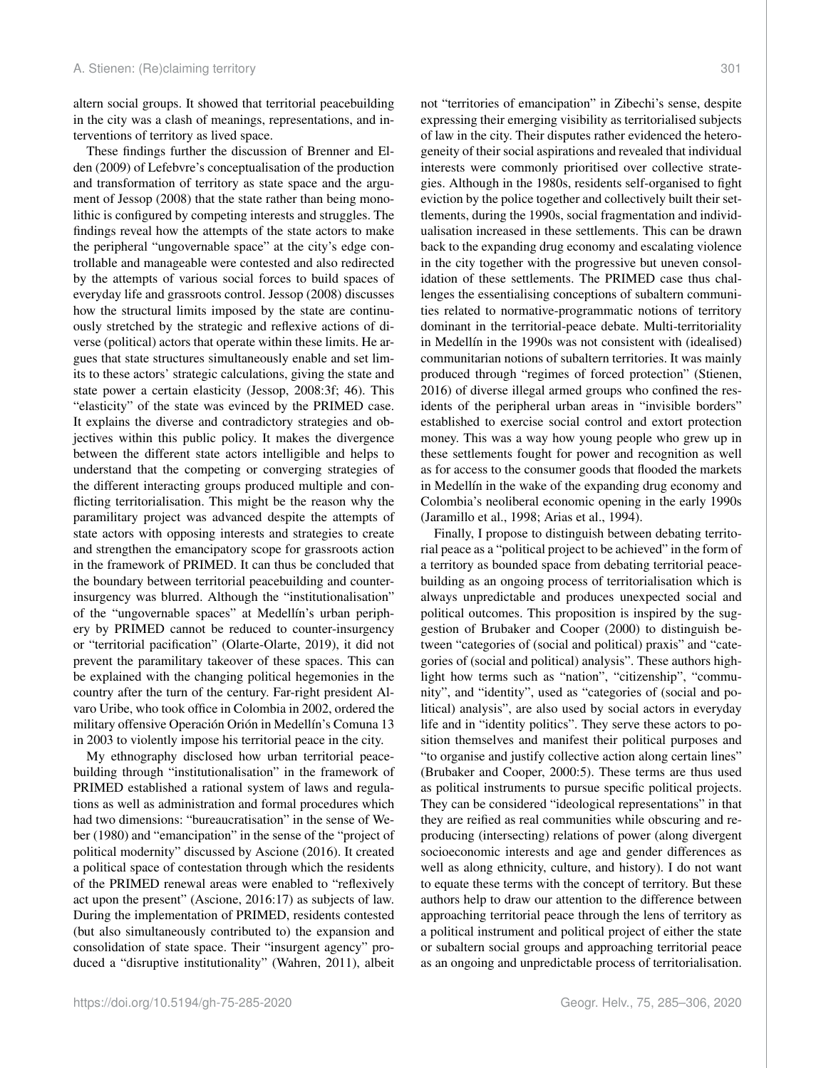altern social groups. It showed that territorial peacebuilding in the city was a clash of meanings, representations, and interventions of territory as lived space.

These findings further the discussion of Brenner and Elden (2009) of Lefebvre's conceptualisation of the production and transformation of territory as state space and the argument of Jessop (2008) that the state rather than being monolithic is configured by competing interests and struggles. The findings reveal how the attempts of the state actors to make the peripheral "ungovernable space" at the city's edge controllable and manageable were contested and also redirected by the attempts of various social forces to build spaces of everyday life and grassroots control. Jessop (2008) discusses how the structural limits imposed by the state are continuously stretched by the strategic and reflexive actions of diverse (political) actors that operate within these limits. He argues that state structures simultaneously enable and set limits to these actors' strategic calculations, giving the state and state power a certain elasticity (Jessop, 2008:3f; 46). This "elasticity" of the state was evinced by the PRIMED case. It explains the diverse and contradictory strategies and objectives within this public policy. It makes the divergence between the different state actors intelligible and helps to understand that the competing or converging strategies of the different interacting groups produced multiple and conflicting territorialisation. This might be the reason why the paramilitary project was advanced despite the attempts of state actors with opposing interests and strategies to create and strengthen the emancipatory scope for grassroots action in the framework of PRIMED. It can thus be concluded that the boundary between territorial peacebuilding and counterinsurgency was blurred. Although the "institutionalisation" of the "ungovernable spaces" at Medellín's urban periphery by PRIMED cannot be reduced to counter-insurgency or "territorial pacification" (Olarte-Olarte, 2019), it did not prevent the paramilitary takeover of these spaces. This can be explained with the changing political hegemonies in the country after the turn of the century. Far-right president Alvaro Uribe, who took office in Colombia in 2002, ordered the military offensive Operación Orión in Medellín's Comuna 13 in 2003 to violently impose his territorial peace in the city.

My ethnography disclosed how urban territorial peacebuilding through "institutionalisation" in the framework of PRIMED established a rational system of laws and regulations as well as administration and formal procedures which had two dimensions: "bureaucratisation" in the sense of Weber (1980) and "emancipation" in the sense of the "project of political modernity" discussed by Ascione (2016). It created a political space of contestation through which the residents of the PRIMED renewal areas were enabled to "reflexively act upon the present" (Ascione, 2016:17) as subjects of law. During the implementation of PRIMED, residents contested (but also simultaneously contributed to) the expansion and consolidation of state space. Their "insurgent agency" produced a "disruptive institutionality" (Wahren, 2011), albeit

not "territories of emancipation" in Zibechi's sense, despite expressing their emerging visibility as territorialised subjects of law in the city. Their disputes rather evidenced the heterogeneity of their social aspirations and revealed that individual interests were commonly prioritised over collective strategies. Although in the 1980s, residents self-organised to fight eviction by the police together and collectively built their settlements, during the 1990s, social fragmentation and individualisation increased in these settlements. This can be drawn back to the expanding drug economy and escalating violence in the city together with the progressive but uneven consolidation of these settlements. The PRIMED case thus challenges the essentialising conceptions of subaltern communities related to normative-programmatic notions of territory dominant in the territorial-peace debate. Multi-territoriality in Medellín in the 1990s was not consistent with (idealised) communitarian notions of subaltern territories. It was mainly produced through "regimes of forced protection" (Stienen, 2016) of diverse illegal armed groups who confined the residents of the peripheral urban areas in "invisible borders" established to exercise social control and extort protection money. This was a way how young people who grew up in these settlements fought for power and recognition as well as for access to the consumer goods that flooded the markets in Medellín in the wake of the expanding drug economy and Colombia's neoliberal economic opening in the early 1990s (Jaramillo et al., 1998; Arias et al., 1994).

Finally, I propose to distinguish between debating territorial peace as a "political project to be achieved" in the form of a territory as bounded space from debating territorial peacebuilding as an ongoing process of territorialisation which is always unpredictable and produces unexpected social and political outcomes. This proposition is inspired by the suggestion of Brubaker and Cooper (2000) to distinguish between "categories of (social and political) praxis" and "categories of (social and political) analysis". These authors highlight how terms such as "nation", "citizenship", "community", and "identity", used as "categories of (social and political) analysis", are also used by social actors in everyday life and in "identity politics". They serve these actors to position themselves and manifest their political purposes and "to organise and justify collective action along certain lines" (Brubaker and Cooper, 2000:5). These terms are thus used as political instruments to pursue specific political projects. They can be considered "ideological representations" in that they are reified as real communities while obscuring and reproducing (intersecting) relations of power (along divergent socioeconomic interests and age and gender differences as well as along ethnicity, culture, and history). I do not want to equate these terms with the concept of territory. But these authors help to draw our attention to the difference between approaching territorial peace through the lens of territory as a political instrument and political project of either the state or subaltern social groups and approaching territorial peace as an ongoing and unpredictable process of territorialisation.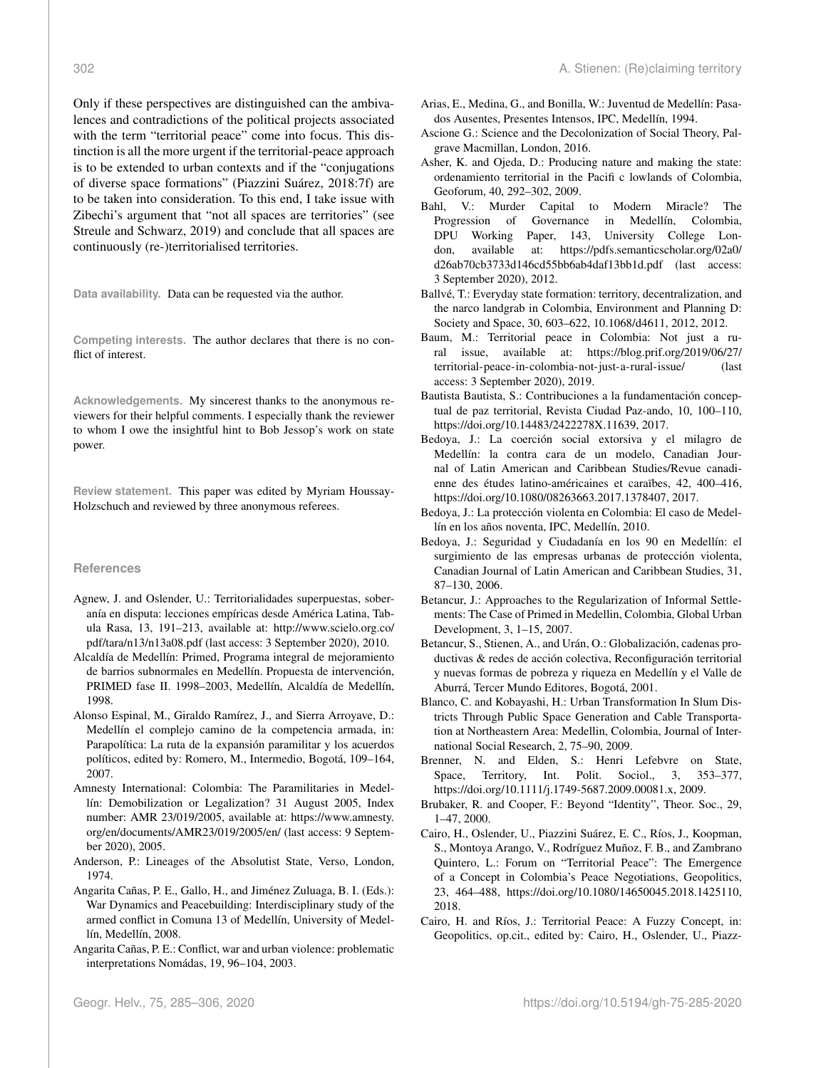Only if these perspectives are distinguished can the ambivalences and contradictions of the political projects associated with the term "territorial peace" come into focus. This distinction is all the more urgent if the territorial-peace approach is to be extended to urban contexts and if the "conjugations of diverse space formations" (Piazzini Suárez, 2018:7f) are to be taken into consideration. To this end, I take issue with Zibechi's argument that "not all spaces are territories" (see Streule and Schwarz, 2019) and conclude that all spaces are continuously (re-)territorialised territories.

**Data availability.** Data can be requested via the author.

**Competing interests.** The author declares that there is no conflict of interest.

**Acknowledgements.** My sincerest thanks to the anonymous reviewers for their helpful comments. I especially thank the reviewer to whom I owe the insightful hint to Bob Jessop's work on state power.

**Review statement.** This paper was edited by Myriam Houssay-Holzschuch and reviewed by three anonymous referees.

#### **References**

- Agnew, J. and Oslender, U.: Territorialidades superpuestas, soberanía en disputa: lecciones empíricas desde América Latina, Tabula Rasa, 13, 191–213, available at: [http://www.scielo.org.co/](http://www.scielo.org.co/pdf/tara/n13/n13a08.pdf) [pdf/tara/n13/n13a08.pdf](http://www.scielo.org.co/pdf/tara/n13/n13a08.pdf) (last access: 3 September 2020), 2010.
- Alcaldía de Medellín: Primed, Programa integral de mejoramiento de barrios subnormales en Medellín. Propuesta de intervención, PRIMED fase II. 1998–2003, Medellín, Alcaldía de Medellín, 1998.
- Alonso Espinal, M., Giraldo Ramírez, J., and Sierra Arroyave, D.: Medellín el complejo camino de la competencia armada, in: Parapolítica: La ruta de la expansión paramilitar y los acuerdos políticos, edited by: Romero, M., Intermedio, Bogotá, 109–164, 2007.
- Amnesty International: Colombia: The Paramilitaries in Medellín: Demobilization or Legalization? 31 August 2005, Index number: AMR 23/019/2005, available at: [https://www.amnesty.](https://www.amnesty.org/en/documents/AMR23/019/2005/en/) [org/en/documents/AMR23/019/2005/en/](https://www.amnesty.org/en/documents/AMR23/019/2005/en/) (last access: 9 September 2020), 2005.
- Anderson, P.: Lineages of the Absolutist State, Verso, London, 1974.
- Angarita Cañas, P. E., Gallo, H., and Jiménez Zuluaga, B. I. (Eds.): War Dynamics and Peacebuilding: Interdisciplinary study of the armed conflict in Comuna 13 of Medellín, University of Medellín, Medellín, 2008.
- Angarita Cañas, P. E.: Conflict, war and urban violence: problematic interpretations Nomádas, 19, 96–104, 2003.
- Arias, E., Medina, G., and Bonilla, W.: Juventud de Medellín: Pasados Ausentes, Presentes Intensos, IPC, Medellín, 1994.
- Ascione G.: Science and the Decolonization of Social Theory, Palgrave Macmillan, London, 2016.
- Asher, K. and Ojeda, D.: Producing nature and making the state: ordenamiento territorial in the Pacifi c lowlands of Colombia, Geoforum, 40, 292–302, 2009.
- Bahl, V.: Murder Capital to Modern Miracle? The Progression of Governance in Medellín, Colombia, DPU Working Paper, 143, University College London, available at: [https://pdfs.semanticscholar.org/02a0/](https://pdfs.semanticscholar.org/02a0/d26ab70cb3733d146cd55bb6ab4daf13bb1d.pdf) [d26ab70cb3733d146cd55bb6ab4daf13bb1d.pdf](https://pdfs.semanticscholar.org/02a0/d26ab70cb3733d146cd55bb6ab4daf13bb1d.pdf) (last access: 3 September 2020), 2012.
- Ballvé, T.: Everyday state formation: territory, decentralization, and the narco landgrab in Colombia, Environment and Planning D: Society and Space, 30, 603–622, 10.1068/d4611, 2012, 2012.
- Baum, M.: Territorial peace in Colombia: Not just a rural issue, available at: [https://blog.prif.org/2019/06/27/](https://blog.prif.org/2019/06/27/territorial-peace-in-colombia-not-just-a-rural-issue/) [territorial-peace-in-colombia-not-just-a-rural-issue/](https://blog.prif.org/2019/06/27/territorial-peace-in-colombia-not-just-a-rural-issue/) (last access: 3 September 2020), 2019.
- Bautista Bautista, S.: Contribuciones a la fundamentación conceptual de paz territorial, Revista Ciudad Paz-ando, 10, 100–110, https://doi.org[/10.14483/2422278X.11639,](https://doi.org/10.14483/2422278X.11639) 2017.
- Bedoya, J.: La coerción social extorsiva y el milagro de Medellín: la contra cara de un modelo, Canadian Journal of Latin American and Caribbean Studies/Revue canadienne des études latino-américaines et caraïbes, 42, 400–416, https://doi.org[/10.1080/08263663.2017.1378407,](https://doi.org/10.1080/08263663.2017.1378407) 2017.
- Bedoya, J.: La protección violenta en Colombia: El caso de Medellín en los años noventa, IPC, Medellín, 2010.
- Bedoya, J.: Seguridad y Ciudadanía en los 90 en Medellín: el surgimiento de las empresas urbanas de protección violenta, Canadian Journal of Latin American and Caribbean Studies, 31, 87–130, 2006.
- Betancur, J.: Approaches to the Regularization of Informal Settlements: The Case of Primed in Medellin, Colombia, Global Urban Development, 3, 1–15, 2007.
- Betancur, S., Stienen, A., and Urán, O.: Globalización, cadenas productivas & redes de acción colectiva, Reconfiguración territorial y nuevas formas de pobreza y riqueza en Medellín y el Valle de Aburrá, Tercer Mundo Editores, Bogotá, 2001.
- Blanco, C. and Kobayashi, H.: Urban Transformation In Slum Districts Through Public Space Generation and Cable Transportation at Northeastern Area: Medellin, Colombia, Journal of International Social Research, 2, 75–90, 2009.
- Brenner, N. and Elden, S.: Henri Lefebvre on State, Space, Territory, Int. Polit. Sociol., 3, 353-377, https://doi.org[/10.1111/j.1749-5687.2009.00081.x,](https://doi.org/10.1111/j.1749-5687.2009.00081.x) 2009.
- Brubaker, R. and Cooper, F.: Beyond "Identity", Theor. Soc., 29, 1–47, 2000.
- Cairo, H., Oslender, U., Piazzini Suárez, E. C., Ríos, J., Koopman, S., Montoya Arango, V., Rodríguez Muñoz, F. B., and Zambrano Quintero, L.: Forum on "Territorial Peace": The Emergence of a Concept in Colombia's Peace Negotiations, Geopolitics, 23, 464–488, https://doi.org[/10.1080/14650045.2018.1425110,](https://doi.org/10.1080/14650045.2018.1425110) 2018.
- Cairo, H. and Ríos, J.: Territorial Peace: A Fuzzy Concept, in: Geopolitics, op.cit., edited by: Cairo, H., Oslender, U., Piazz-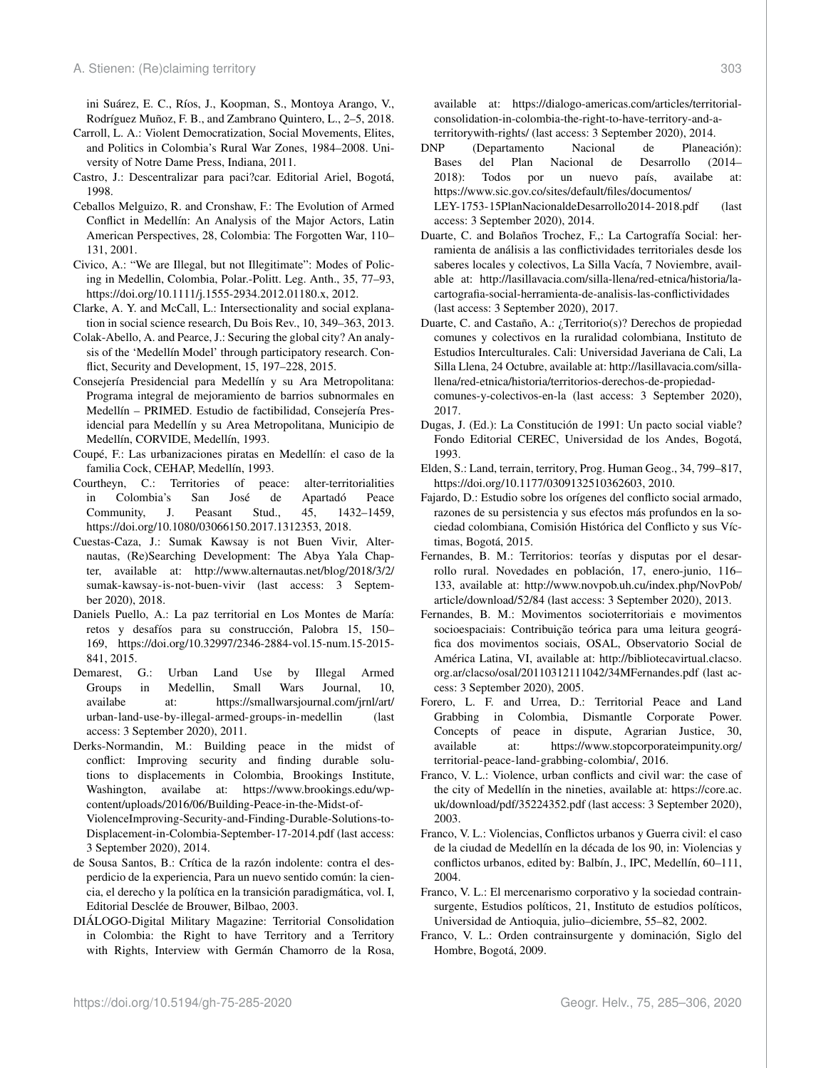ini Suárez, E. C., Ríos, J., Koopman, S., Montoya Arango, V., Rodríguez Muñoz, F. B., and Zambrano Quintero, L., 2–5, 2018.

- Carroll, L. A.: Violent Democratization, Social Movements, Elites, and Politics in Colombia's Rural War Zones, 1984–2008. University of Notre Dame Press, Indiana, 2011.
- Castro, J.: Descentralizar para paci?car. Editorial Ariel, Bogotá, 1998.
- Ceballos Melguizo, R. and Cronshaw, F.: The Evolution of Armed Conflict in Medellín: An Analysis of the Major Actors, Latin American Perspectives, 28, Colombia: The Forgotten War, 110– 131, 2001.
- Civico, A.: "We are Illegal, but not Illegitimate": Modes of Policing in Medellin, Colombia, Polar.-Politt. Leg. Anth., 35, 77–93, https://doi.org[/10.1111/j.1555-2934.2012.01180.x,](https://doi.org/10.1111/j.1555-2934.2012.01180.x) 2012.
- Clarke, A. Y. and McCall, L.: Intersectionality and social explanation in social science research, Du Bois Rev., 10, 349–363, 2013.
- Colak-Abello, A. and Pearce, J.: Securing the global city? An analysis of the 'Medellín Model' through participatory research. Conflict, Security and Development, 15, 197–228, 2015.
- Consejería Presidencial para Medellín y su Ara Metropolitana: Programa integral de mejoramiento de barrios subnormales en Medellín – PRIMED. Estudio de factibilidad, Consejería Presidencial para Medellín y su Area Metropolitana, Municipio de Medellín, CORVIDE, Medellín, 1993.
- Coupé, F.: Las urbanizaciones piratas en Medellín: el caso de la familia Cock, CEHAP, Medellín, 1993.
- Courtheyn, C.: Territories of peace: alter-territorialities in Colombia's San José de Apartadó Peace Community, J. Peasant Stud., 45, 1432–1459, https://doi.org[/10.1080/03066150.2017.1312353,](https://doi.org/10.1080/03066150.2017.1312353) 2018.
- Cuestas-Caza, J.: Sumak Kawsay is not Buen Vivir, Alternautas, (Re)Searching Development: The Abya Yala Chapter, available at: [http://www.alternautas.net/blog/2018/3/2/](http://www.alternautas.net/blog/2018/3/2/sumak-kawsay-is-not-buen-vivir) [sumak-kawsay-is-not-buen-vivir](http://www.alternautas.net/blog/2018/3/2/sumak-kawsay-is-not-buen-vivir) (last access: 3 September 2020), 2018.
- Daniels Puello, A.: La paz territorial en Los Montes de María: retos y desafíos para su construcción, Palobra 15, 150– 169, https://doi.org[/10.32997/2346-2884-vol.15-num.15-2015-](https://doi.org/10.32997/2346-2884-vol.15-num.15-2015-841) [841,](https://doi.org/10.32997/2346-2884-vol.15-num.15-2015-841) 2015.
- Demarest, G.: Urban Land Use by Illegal Armed Groups in Medellin, Small Wars Journal, 10, availabe at: [https://smallwarsjournal.com/jrnl/art/](https://smallwarsjournal.com/jrnl/art/urban-land-use-by-illegal-armed-groups-in-medellin) [urban-land-use-by-illegal-armed-groups-in-medellin](https://smallwarsjournal.com/jrnl/art/urban-land-use-by-illegal-armed-groups-in-medellin) (last access: 3 September 2020), 2011.
- Derks-Normandin, M.: Building peace in the midst of conflict: Improving security and finding durable solutions to displacements in Colombia, Brookings Institute, Washington, availabe at: [https://www.brookings.edu/wp](https://www.brookings.edu/wp-content/uploads/2016/06/Building-Peace-in-the-Midst-of-ViolenceImproving-Security-and-Finding-Durable-Solutions-to-Displacement-in-Colombia-September-17-2014.pdf)[content/uploads/2016/06/Building-Peace-in-the-Midst-of-](https://www.brookings.edu/wp-content/uploads/2016/06/Building-Peace-in-the-Midst-of-ViolenceImproving-Security-and-Finding-Durable-Solutions-to-Displacement-in-Colombia-September-17-2014.pdf)[ViolenceImproving-Security-and-Finding-Durable-Solutions-to-](https://www.brookings.edu/wp-content/uploads/2016/06/Building-Peace-in-the-Midst-of-ViolenceImproving-Security-and-Finding-Durable-Solutions-to-Displacement-in-Colombia-September-17-2014.pdf)[Displacement-in-Colombia-September-17-2014.pdf](https://www.brookings.edu/wp-content/uploads/2016/06/Building-Peace-in-the-Midst-of-ViolenceImproving-Security-and-Finding-Durable-Solutions-to-Displacement-in-Colombia-September-17-2014.pdf) (last access: 3 September 2020), 2014.
- de Sousa Santos, B.: Crítica de la razón indolente: contra el desperdicio de la experiencia, Para un nuevo sentido común: la ciencia, el derecho y la política en la transición paradigmática, vol. I, Editorial Desclée de Brouwer, Bilbao, 2003.
- DIÁLOGO-Digital Military Magazine: Territorial Consolidation in Colombia: the Right to have Territory and a Territory with Rights, Interview with Germán Chamorro de la Rosa,

available at: [https://dialogo-americas.com/articles/territorial](https://dialogo-americas.com/articles/territorial-consolidation-in-colombia-the-right-to-have-territory-and-a-territorywith-rights/)[consolidation-in-colombia-the-right-to-have-territory-and-a](https://dialogo-americas.com/articles/territorial-consolidation-in-colombia-the-right-to-have-territory-and-a-territorywith-rights/)[territorywith-rights/](https://dialogo-americas.com/articles/territorial-consolidation-in-colombia-the-right-to-have-territory-and-a-territorywith-rights/) (last access: 3 September 2020), 2014.

- DNP (Departamento Nacional de Planeación): Bases del Plan Nacional de Desarrollo (2014– 2018): Todos por un nuevo país, availabe at: [https://www.sic.gov.co/sites/default/files/documentos/](https://www.sic.gov.co/sites/default/files/documentos/LEY-1753-15 Plan Nacional de Desarrollo 2014 - 2018.pdf) [LEY-1753-15PlanNacionaldeDesarrollo2014-2018.pdf](https://www.sic.gov.co/sites/default/files/documentos/LEY-1753-15 Plan Nacional de Desarrollo 2014 - 2018.pdf) (last access: 3 September 2020), 2014.
- Duarte, C. and Bolaños Trochez, F.,: La Cartografía Social: herramienta de análisis a las conflictividades territoriales desde los saberes locales y colectivos, La Silla Vacía, 7 Noviembre, available at: [http://lasillavacia.com/silla-llena/red-etnica/historia/la](http://lasillavacia.com/silla-llena/red-etnica/historia/la-cartografia-social-herramienta-de-analisis-las-conflictividades)[cartografia-social-herramienta-de-analisis-las-conflictividades](http://lasillavacia.com/silla-llena/red-etnica/historia/la-cartografia-social-herramienta-de-analisis-las-conflictividades) (last access: 3 September 2020), 2017.
- Duarte, C. and Castaño, A.: ¿Territorio(s)? Derechos de propiedad comunes y colectivos en la ruralidad colombiana, Instituto de Estudios Interculturales. Cali: Universidad Javeriana de Cali, La Silla Llena, 24 Octubre, available at: [http://lasillavacia.com/silla](http://lasillavacia.com/silla-llena/red-etnica/historia/territorios-derechos-de-propiedad-comunes-y-colectivos-en-la)[llena/red-etnica/historia/territorios-derechos-de-propiedad](http://lasillavacia.com/silla-llena/red-etnica/historia/territorios-derechos-de-propiedad-comunes-y-colectivos-en-la)[comunes-y-colectivos-en-la](http://lasillavacia.com/silla-llena/red-etnica/historia/territorios-derechos-de-propiedad-comunes-y-colectivos-en-la) (last access: 3 September 2020), 2017.
- Dugas, J. (Ed.): La Constitución de 1991: Un pacto social viable? Fondo Editorial CEREC, Universidad de los Andes, Bogotá, 1993.
- Elden, S.: Land, terrain, territory, Prog. Human Geog., 34, 799–817, https://doi.org[/10.1177/0309132510362603,](https://doi.org/10.1177/0309132510362603) 2010.
- Fajardo, D.: Estudio sobre los orígenes del conflicto social armado, razones de su persistencia y sus efectos más profundos en la sociedad colombiana, Comisión Histórica del Conflicto y sus Víctimas, Bogotá, 2015.
- Fernandes, B. M.: Territorios: teorías y disputas por el desarrollo rural. Novedades en población, 17, enero-junio, 116– 133, available at: [http://www.novpob.uh.cu/index.php/NovPob/](http://www.novpob.uh.cu/index.php/NovPob/article/download/52/84) [article/download/52/84](http://www.novpob.uh.cu/index.php/NovPob/article/download/52/84) (last access: 3 September 2020), 2013.
- Fernandes, B. M.: Movimentos socioterritoriais e movimentos socioespaciais: Contribuição teórica para uma leitura geográfica dos movimentos sociais, OSAL, Observatorio Social de América Latina, VI, available at: [http://bibliotecavirtual.clacso.](http://bibliotecavirtual.clacso.org.ar/clacso/osal/20110312111042/34MFernandes.pdf) [org.ar/clacso/osal/20110312111042/34MFernandes.pdf](http://bibliotecavirtual.clacso.org.ar/clacso/osal/20110312111042/34MFernandes.pdf) (last access: 3 September 2020), 2005.
- Forero, L. F. and Urrea, D.: Territorial Peace and Land Grabbing in Colombia, Dismantle Corporate Power. Concepts of peace in dispute, Agrarian Justice, 30, available at: [https://www.stopcorporateimpunity.org/](https://www.stopcorporateimpunity.org/territorial-peace-land-grabbing-colombia/) [territorial-peace-land-grabbing-colombia/,](https://www.stopcorporateimpunity.org/territorial-peace-land-grabbing-colombia/) 2016.
- Franco, V. L.: Violence, urban conflicts and civil war: the case of the city of Medellín in the nineties, available at: [https://core.ac.](https://core.ac.uk/download/pdf/35224352.pdf) [uk/download/pdf/35224352.pdf](https://core.ac.uk/download/pdf/35224352.pdf) (last access: 3 September 2020), 2003.
- Franco, V. L.: Violencias, Conflictos urbanos y Guerra civil: el caso de la ciudad de Medellín en la década de los 90, in: Violencias y conflictos urbanos, edited by: Balbín, J., IPC, Medellín, 60–111, 2004.
- Franco, V. L.: El mercenarismo corporativo y la sociedad contrainsurgente, Estudios políticos, 21, Instituto de estudios políticos, Universidad de Antioquia, julio–diciembre, 55–82, 2002.
- Franco, V. L.: Orden contrainsurgente y dominación, Siglo del Hombre, Bogotá, 2009.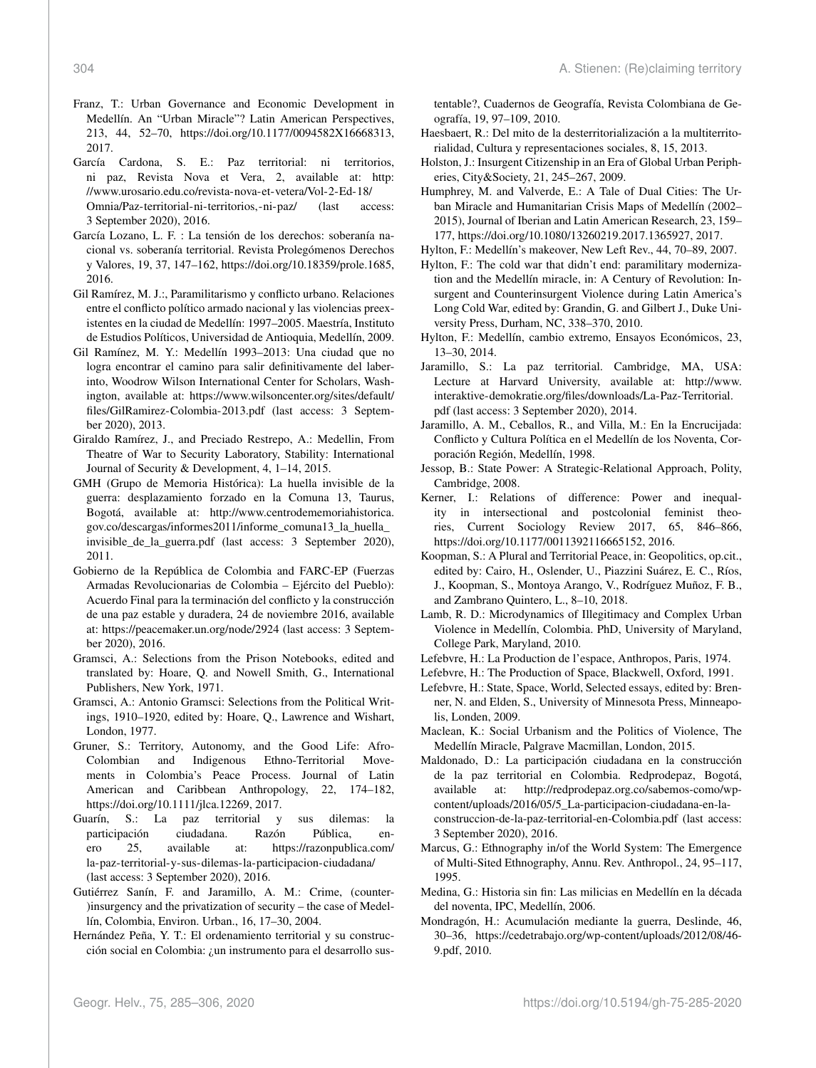- Franz, T.: Urban Governance and Economic Development in Medellín. An "Urban Miracle"? Latin American Perspectives, 213, 44, 52–70, https://doi.org[/10.1177/0094582X16668313,](https://doi.org/10.1177/0094582X16668313) 2017.
- García Cardona, S. E.: Paz territorial: ni territorios, ni paz, Revista Nova et Vera, 2, available at: [http:](http://www.urosario.edu.co/revista-nova-et-vetera/Vol-2-Ed-18/Omnia/Paz-territorial-ni-territorios,-ni-paz/) [//www.urosario.edu.co/revista-nova-et-vetera/Vol-2-Ed-18/](http://www.urosario.edu.co/revista-nova-et-vetera/Vol-2-Ed-18/Omnia/Paz-territorial-ni-territorios,-ni-paz/) [Omnia/Paz-territorial-ni-territorios,-ni-paz/](http://www.urosario.edu.co/revista-nova-et-vetera/Vol-2-Ed-18/Omnia/Paz-territorial-ni-territorios,-ni-paz/) (last access: 3 September 2020), 2016.
- García Lozano, L. F. : La tensión de los derechos: soberanía nacional vs. soberanía territorial. Revista Prolegómenos Derechos y Valores, 19, 37, 147–162, https://doi.org[/10.18359/prole.1685,](https://doi.org/10.18359/prole.1685) 2016.
- Gil Ramírez, M. J.:, Paramilitarismo y conflicto urbano. Relaciones entre el conflicto político armado nacional y las violencias preexistentes en la ciudad de Medellín: 1997–2005. Maestría, Instituto de Estudios Políticos, Universidad de Antioquia, Medellín, 2009.
- Gil Ramínez, M. Y.: Medellín 1993–2013: Una ciudad que no logra encontrar el camino para salir definitivamente del laberinto, Woodrow Wilson International Center for Scholars, Washington, available at: [https://www.wilsoncenter.org/sites/default/](https://www.wilsoncenter.org/sites/default/files/GilRamirez-Colombia-2013.pdf) [files/GilRamirez-Colombia-2013.pdf](https://www.wilsoncenter.org/sites/default/files/GilRamirez-Colombia-2013.pdf) (last access: 3 September 2020), 2013.
- Giraldo Ramírez, J., and Preciado Restrepo, A.: Medellin, From Theatre of War to Security Laboratory, Stability: International Journal of Security & Development, 4, 1–14, 2015.
- GMH (Grupo de Memoria Histórica): La huella invisible de la guerra: desplazamiento forzado en la Comuna 13, Taurus, Bogotá, available at: [http://www.centrodememoriahistorica.](http://www.centrodememoriahistorica.gov.co/descargas/informes2011/informe_comuna13_la_huella_invisible_de_la_guerra.pdf) [gov.co/descargas/informes2011/informe\\_comuna13\\_la\\_huella\\_](http://www.centrodememoriahistorica.gov.co/descargas/informes2011/informe_comuna13_la_huella_invisible_de_la_guerra.pdf) [invisible\\_de\\_la\\_guerra.pdf](http://www.centrodememoriahistorica.gov.co/descargas/informes2011/informe_comuna13_la_huella_invisible_de_la_guerra.pdf) (last access: 3 September 2020), 2011.
- Gobierno de la República de Colombia and FARC-EP (Fuerzas Armadas Revolucionarias de Colombia – Ejército del Pueblo): Acuerdo Final para la terminación del conflicto y la construcción de una paz estable y duradera, 24 de noviembre 2016, available at: <https://peacemaker.un.org/node/2924> (last access: 3 September 2020), 2016.
- Gramsci, A.: Selections from the Prison Notebooks, edited and translated by: Hoare, Q. and Nowell Smith, G., International Publishers, New York, 1971.
- Gramsci, A.: Antonio Gramsci: Selections from the Political Writings, 1910–1920, edited by: Hoare, Q., Lawrence and Wishart, London, 1977.
- Gruner, S.: Territory, Autonomy, and the Good Life: Afro-Colombian and Indigenous Ethno-Territorial Movements in Colombia's Peace Process. Journal of Latin American and Caribbean Anthropology, 22, 174–182, https://doi.org[/10.1111/jlca.12269,](https://doi.org/10.1111/jlca.12269) 2017.
- Guarín, S.: La paz territorial y sus dilemas: la participación ciudadana. Razón Pública, enero 25, available at: [https://razonpublica.com/](https://razonpublica.com/la-paz-territorial-y-sus-dilemas-la-participacion-ciudadana/) [la-paz-territorial-y-sus-dilemas-la-participacion-ciudadana/](https://razonpublica.com/la-paz-territorial-y-sus-dilemas-la-participacion-ciudadana/) (last access: 3 September 2020), 2016.
- Gutiérrez Sanín, F. and Jaramillo, A. M.: Crime, (counter- )insurgency and the privatization of security – the case of Medellín, Colombia, Environ. Urban., 16, 17–30, 2004.
- Hernández Peña, Y. T.: El ordenamiento territorial y su construcción social en Colombia: ¿un instrumento para el desarrollo sus-

tentable?, Cuadernos de Geografía, Revista Colombiana de Geografía, 19, 97–109, 2010.

- Haesbaert, R.: Del mito de la desterritorialización a la multiterritorialidad, Cultura y representaciones sociales, 8, 15, 2013.
- Holston, J.: Insurgent Citizenship in an Era of Global Urban Peripheries, City&Society, 21, 245–267, 2009.
- Humphrey, M. and Valverde, E.: A Tale of Dual Cities: The Urban Miracle and Humanitarian Crisis Maps of Medellín (2002– 2015), Journal of Iberian and Latin American Research, 23, 159– 177, https://doi.org[/10.1080/13260219.2017.1365927,](https://doi.org/10.1080/13260219.2017.1365927) 2017.
- Hylton, F.: Medellín's makeover, New Left Rev., 44, 70–89, 2007.
- Hylton, F.: The cold war that didn't end: paramilitary modernization and the Medellín miracle, in: A Century of Revolution: Insurgent and Counterinsurgent Violence during Latin America's Long Cold War, edited by: Grandin, G. and Gilbert J., Duke University Press, Durham, NC, 338–370, 2010.
- Hylton, F.: Medellín, cambio extremo, Ensayos Económicos, 23, 13–30, 2014.
- Jaramillo, S.: La paz territorial. Cambridge, MA, USA: Lecture at Harvard University, available at: [http://www.](http://www.interaktive-demokratie.org/files/downloads/La-Paz-Territorial.pdf) [interaktive-demokratie.org/files/downloads/La-Paz-Territorial.](http://www.interaktive-demokratie.org/files/downloads/La-Paz-Territorial.pdf) [pdf](http://www.interaktive-demokratie.org/files/downloads/La-Paz-Territorial.pdf) (last access: 3 September 2020), 2014.
- Jaramillo, A. M., Ceballos, R., and Villa, M.: En la Encrucijada: Conflicto y Cultura Política en el Medellín de los Noventa, Corporación Región, Medellín, 1998.
- Jessop, B.: State Power: A Strategic-Relational Approach, Polity, Cambridge, 2008.
- Kerner, I.: Relations of difference: Power and inequality in intersectional and postcolonial feminist theories, Current Sociology Review 2017, 65, 846–866, https://doi.org[/10.1177/0011392116665152,](https://doi.org/10.1177/0011392116665152) 2016.
- Koopman, S.: A Plural and Territorial Peace, in: Geopolitics, op.cit., edited by: Cairo, H., Oslender, U., Piazzini Suárez, E. C., Ríos, J., Koopman, S., Montoya Arango, V., Rodríguez Muñoz, F. B., and Zambrano Quintero, L., 8–10, 2018.
- Lamb, R. D.: Microdynamics of Illegitimacy and Complex Urban Violence in Medellín, Colombia. PhD, University of Maryland, College Park, Maryland, 2010.
- Lefebvre, H.: La Production de l'espace, Anthropos, Paris, 1974.
- Lefebvre, H.: The Production of Space, Blackwell, Oxford, 1991.
- Lefebvre, H.: State, Space, World, Selected essays, edited by: Brenner, N. and Elden, S., University of Minnesota Press, Minneapolis, Londen, 2009.
- Maclean, K.: Social Urbanism and the Politics of Violence, The Medellín Miracle, Palgrave Macmillan, London, 2015.
- Maldonado, D.: La participación ciudadana en la construcción de la paz territorial en Colombia. Redprodepaz, Bogotá, available at: [http://redprodepaz.org.co/sabemos-como/wp](http://redprodepaz.org.co/sabemos-como/wp-content/uploads/2016/05/5_La-participacion-ciudadana-en-la-construccion-de-la-paz-territorial-en-Colombia.pdf)[content/uploads/2016/05/5\\_La-participacion-ciudadana-en-la](http://redprodepaz.org.co/sabemos-como/wp-content/uploads/2016/05/5_La-participacion-ciudadana-en-la-construccion-de-la-paz-territorial-en-Colombia.pdf)[construccion-de-la-paz-territorial-en-Colombia.pdf](http://redprodepaz.org.co/sabemos-como/wp-content/uploads/2016/05/5_La-participacion-ciudadana-en-la-construccion-de-la-paz-territorial-en-Colombia.pdf) (last access: 3 September 2020), 2016.
- Marcus, G.: Ethnography in/of the World System: The Emergence of Multi-Sited Ethnography, Annu. Rev. Anthropol., 24, 95–117, 1995.
- Medina, G.: Historia sin fin: Las milicias en Medellín en la década del noventa, IPC, Medellín, 2006.
- Mondragón, H.: Acumulación mediante la guerra, Deslinde, 46, 30–36, https://cedetrabajo.org/wp-content/uploads/2012/08/46- 9.pdf, 2010.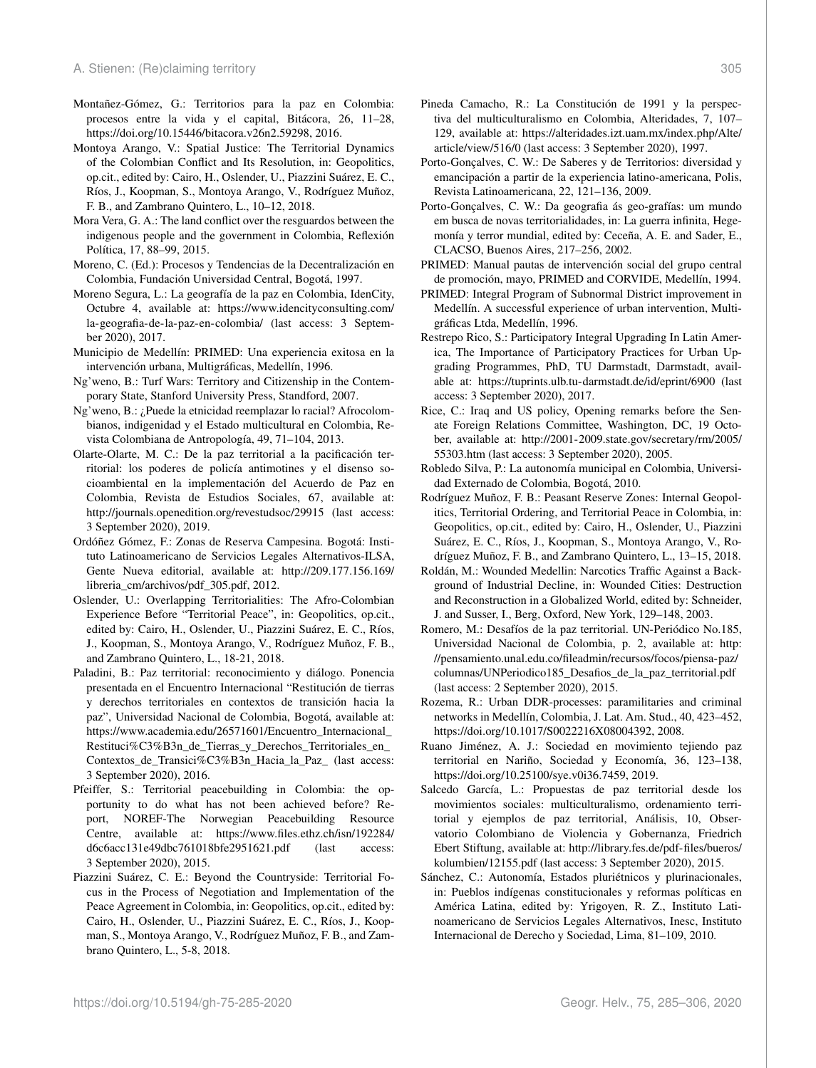- Montañez-Gómez, G.: Territorios para la paz en Colombia: procesos entre la vida y el capital, Bitácora, 26, 11–28, https://doi.org[/10.15446/bitacora.v26n2.59298,](https://doi.org/10.15446/bitacora.v26n2.59298) 2016.
- Montoya Arango, V.: Spatial Justice: The Territorial Dynamics of the Colombian Conflict and Its Resolution, in: Geopolitics, op.cit., edited by: Cairo, H., Oslender, U., Piazzini Suárez, E. C., Ríos, J., Koopman, S., Montoya Arango, V., Rodríguez Muñoz, F. B., and Zambrano Quintero, L., 10–12, 2018.
- Mora Vera, G. A.: The land conflict over the resguardos between the indigenous people and the government in Colombia, Reflexión Política, 17, 88–99, 2015.
- Moreno, C. (Ed.): Procesos y Tendencias de la Decentralización en Colombia, Fundación Universidad Central, Bogotá, 1997.
- Moreno Segura, L.: La geografía de la paz en Colombia, IdenCity, Octubre 4, available at: [https://www.idencityconsulting.com/](https://www.idencityconsulting.com/la-geografia-de-la-paz-en-colombia/) [la-geografia-de-la-paz-en-colombia/](https://www.idencityconsulting.com/la-geografia-de-la-paz-en-colombia/) (last access: 3 September 2020), 2017.
- Municipio de Medellín: PRIMED: Una experiencia exitosa en la intervención urbana, Multigráficas, Medellín, 1996.
- Ng'weno, B.: Turf Wars: Territory and Citizenship in the Contemporary State, Stanford University Press, Standford, 2007.
- Ng'weno, B.: ¿Puede la etnicidad reemplazar lo racial? Afrocolombianos, indigenidad y el Estado multicultural en Colombia, Revista Colombiana de Antropología, 49, 71–104, 2013.
- Olarte-Olarte, M. C.: De la paz territorial a la pacificación territorial: los poderes de policía antimotines y el disenso socioambiental en la implementación del Acuerdo de Paz en Colombia, Revista de Estudios Sociales, 67, available at: <http://journals.openedition.org/revestudsoc/29915> (last access: 3 September 2020), 2019.
- Ordóñez Gómez, F.: Zonas de Reserva Campesina. Bogotá: Instituto Latinoamericano de Servicios Legales Alternativos-ILSA, Gente Nueva editorial, available at: [http://209.177.156.169/](http://209.177.156.169/libreria_cm/archivos/pdf_305.pdf) [libreria\\_cm/archivos/pdf\\_305.pdf,](http://209.177.156.169/libreria_cm/archivos/pdf_305.pdf) 2012.
- Oslender, U.: Overlapping Territorialities: The Afro-Colombian Experience Before "Territorial Peace", in: Geopolitics, op.cit., edited by: Cairo, H., Oslender, U., Piazzini Suárez, E. C., Ríos, J., Koopman, S., Montoya Arango, V., Rodríguez Muñoz, F. B., and Zambrano Quintero, L., 18-21, 2018.
- Paladini, B.: Paz territorial: reconocimiento y diálogo. Ponencia presentada en el Encuentro Internacional "Restitución de tierras y derechos territoriales en contextos de transición hacia la paz", Universidad Nacional de Colombia, Bogotá, available at: [https://www.academia.edu/26571601/Encuentro\\_Internacional\\_](https://www.academia.edu/26571601/Encuentro_Internacional_ Restituci%C3%B3n_de_ Tierras_ y_Derechos_ Territoriales_ en_Contextos_ de_Transici%C3%B3n_ Hacia_ la_Paz_) [Restituci%C3%B3n\\_de\\_Tierras\\_y\\_Derechos\\_Territoriales\\_en\\_](https://www.academia.edu/26571601/Encuentro_Internacional_ Restituci%C3%B3n_de_ Tierras_ y_Derechos_ Territoriales_ en_Contextos_ de_Transici%C3%B3n_ Hacia_ la_Paz_) [Contextos\\_de\\_Transici%C3%B3n\\_Hacia\\_la\\_Paz\\_](https://www.academia.edu/26571601/Encuentro_Internacional_ Restituci%C3%B3n_de_ Tierras_ y_Derechos_ Territoriales_ en_Contextos_ de_Transici%C3%B3n_ Hacia_ la_Paz_) (last access: 3 September 2020), 2016.
- Pfeiffer, S.: Territorial peacebuilding in Colombia: the opportunity to do what has not been achieved before? Report, NOREF-The Norwegian Peacebuilding Resource Centre, available at: [https://www.files.ethz.ch/isn/192284/](https://www.files.ethz.ch/isn/192284/d6c6acc131e49dbc761018bfe2951621.pdf) [d6c6acc131e49dbc761018bfe2951621.pdf](https://www.files.ethz.ch/isn/192284/d6c6acc131e49dbc761018bfe2951621.pdf) (last access: 3 September 2020), 2015.
- Piazzini Suárez, C. E.: Beyond the Countryside: Territorial Focus in the Process of Negotiation and Implementation of the Peace Agreement in Colombia, in: Geopolitics, op.cit., edited by: Cairo, H., Oslender, U., Piazzini Suárez, E. C., Ríos, J., Koopman, S., Montoya Arango, V., Rodríguez Muñoz, F. B., and Zambrano Quintero, L., 5-8, 2018.
- Pineda Camacho, R.: La Constitución de 1991 y la perspectiva del multiculturalismo en Colombia, Alteridades, 7, 107– 129, available at: [https://alteridades.izt.uam.mx/index.php/Alte/](https://alteridades.izt.uam.mx/index.php/Alte/article/view/516/0) [article/view/516/0](https://alteridades.izt.uam.mx/index.php/Alte/article/view/516/0) (last access: 3 September 2020), 1997.
- Porto-Gonçalves, C. W.: De Saberes y de Territorios: diversidad y emancipación a partir de la experiencia latino-americana, Polis, Revista Latinoamericana, 22, 121–136, 2009.
- Porto-Gonçalves, C. W.: Da geografia ás geo-grafías: um mundo em busca de novas territorialidades, in: La guerra infinita, Hegemonía y terror mundial, edited by: Ceceña, A. E. and Sader, E., CLACSO, Buenos Aires, 217–256, 2002.
- PRIMED: Manual pautas de intervención social del grupo central de promoción, mayo, PRIMED and CORVIDE, Medellín, 1994.
- PRIMED: Integral Program of Subnormal District improvement in Medellín. A successful experience of urban intervention, Multigráficas Ltda, Medellín, 1996.
- Restrepo Rico, S.: Participatory Integral Upgrading In Latin America, The Importance of Participatory Practices for Urban Upgrading Programmes, PhD, TU Darmstadt, Darmstadt, available at: <https://tuprints.ulb.tu-darmstadt.de/id/eprint/6900> (last access: 3 September 2020), 2017.
- Rice, C.: Iraq and US policy, Opening remarks before the Senate Foreign Relations Committee, Washington, DC, 19 October, available at: [http://2001-2009.state.gov/secretary/rm/2005/](http://2001-2009.state.gov/secretary/rm/2005/55303.htm) [55303.htm](http://2001-2009.state.gov/secretary/rm/2005/55303.htm) (last access: 3 September 2020), 2005.
- Robledo Silva, P.: La autonomía municipal en Colombia, Universidad Externado de Colombia, Bogotá, 2010.
- Rodríguez Muñoz, F. B.: Peasant Reserve Zones: Internal Geopolitics, Territorial Ordering, and Territorial Peace in Colombia, in: Geopolitics, op.cit., edited by: Cairo, H., Oslender, U., Piazzini Suárez, E. C., Ríos, J., Koopman, S., Montoya Arango, V., Rodríguez Muñoz, F. B., and Zambrano Quintero, L., 13–15, 2018.
- Roldán, M.: Wounded Medellin: Narcotics Traffic Against a Background of Industrial Decline, in: Wounded Cities: Destruction and Reconstruction in a Globalized World, edited by: Schneider, J. and Susser, I., Berg, Oxford, New York, 129–148, 2003.
- Romero, M.: Desafíos de la paz territorial. UN-Periódico No.185, Universidad Nacional de Colombia, p. 2, available at: [http:](http://pensamiento.unal.edu.co/fileadmin/recursos/focos/piensa-paz/columnas/UNPeriodico185_Desafios_de_la_paz_territorial.pdf) [//pensamiento.unal.edu.co/fileadmin/recursos/focos/piensa-paz/](http://pensamiento.unal.edu.co/fileadmin/recursos/focos/piensa-paz/columnas/UNPeriodico185_Desafios_de_la_paz_territorial.pdf) [columnas/UNPeriodico185\\_Desafios\\_de\\_la\\_paz\\_territorial.pdf](http://pensamiento.unal.edu.co/fileadmin/recursos/focos/piensa-paz/columnas/UNPeriodico185_Desafios_de_la_paz_territorial.pdf) (last access: 2 September 2020), 2015.
- Rozema, R.: Urban DDR-processes: paramilitaries and criminal networks in Medellín, Colombia, J. Lat. Am. Stud., 40, 423–452, https://doi.org[/10.1017/S0022216X08004392,](https://doi.org/10.1017/S0022216X08004392) 2008.
- Ruano Jiménez, A. J.: Sociedad en movimiento tejiendo paz territorial en Nariño, Sociedad y Economía, 36, 123–138, https://doi.org[/10.25100/sye.v0i36.7459,](https://doi.org/10.25100/sye.v0i36.7459) 2019.
- Salcedo García, L.: Propuestas de paz territorial desde los movimientos sociales: multiculturalismo, ordenamiento territorial y ejemplos de paz territorial, Análisis, 10, Observatorio Colombiano de Violencia y Gobernanza, Friedrich Ebert Stiftung, available at: [http://library.fes.de/pdf-files/bueros/](http://library.fes.de/pdf-files/bueros/kolumbien/12155.pdf) [kolumbien/12155.pdf](http://library.fes.de/pdf-files/bueros/kolumbien/12155.pdf) (last access: 3 September 2020), 2015.
- Sánchez, C.: Autonomía, Estados pluriétnicos y plurinacionales, in: Pueblos indígenas constitucionales y reformas políticas en América Latina, edited by: Yrigoyen, R. Z., Instituto Latinoamericano de Servicios Legales Alternativos, Inesc, Instituto Internacional de Derecho y Sociedad, Lima, 81–109, 2010.